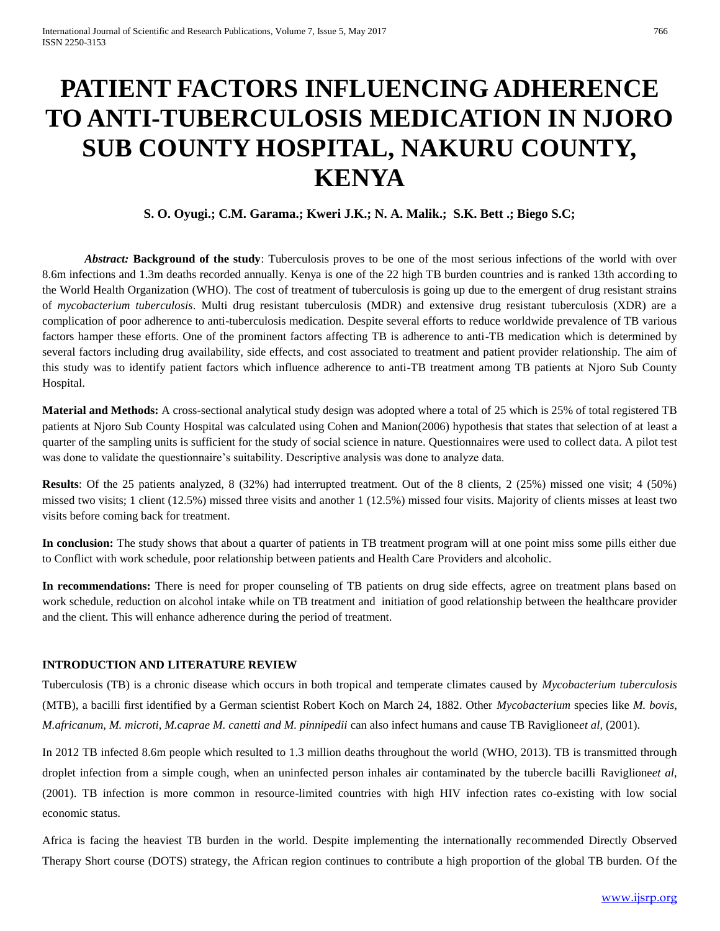# **PATIENT FACTORS INFLUENCING ADHERENCE TO ANTI-TUBERCULOSIS MEDICATION IN NJORO SUB COUNTY HOSPITAL, NAKURU COUNTY, KENYA**

# **S. O. Oyugi.; C.M. Garama.; Kweri J.K.; N. A. Malik.; S.K. Bett .; Biego S.C;**

*Abstract:* **Background of the study**: Tuberculosis proves to be one of the most serious infections of the world with over 8.6m infections and 1.3m deaths recorded annually. Kenya is one of the 22 high TB burden countries and is ranked 13th according to the World Health Organization (WHO). The cost of treatment of tuberculosis is going up due to the emergent of drug resistant strains of *mycobacterium tuberculosis*. Multi drug resistant tuberculosis (MDR) and extensive drug resistant tuberculosis (XDR) are a complication of poor adherence to anti-tuberculosis medication. Despite several efforts to reduce worldwide prevalence of TB various factors hamper these efforts. One of the prominent factors affecting TB is adherence to anti-TB medication which is determined by several factors including drug availability, side effects, and cost associated to treatment and patient provider relationship. The aim of this study was to identify patient factors which influence adherence to anti-TB treatment among TB patients at Njoro Sub County Hospital.

**Material and Methods:** A cross-sectional analytical study design was adopted where a total of 25 which is 25% of total registered TB patients at Njoro Sub County Hospital was calculated using Cohen and Manion(2006) hypothesis that states that selection of at least a quarter of the sampling units is sufficient for the study of social science in nature. Questionnaires were used to collect data. A pilot test was done to validate the questionnaire's suitability. Descriptive analysis was done to analyze data.

**Results**: Of the 25 patients analyzed, 8 (32%) had interrupted treatment. Out of the 8 clients, 2 (25%) missed one visit; 4 (50%) missed two visits; 1 client (12.5%) missed three visits and another 1 (12.5%) missed four visits. Majority of clients misses at least two visits before coming back for treatment.

**In conclusion:** The study shows that about a quarter of patients in TB treatment program will at one point miss some pills either due to Conflict with work schedule, poor relationship between patients and Health Care Providers and alcoholic.

**In recommendations:** There is need for proper counseling of TB patients on drug side effects, agree on treatment plans based on work schedule, reduction on alcohol intake while on TB treatment and initiation of good relationship between the healthcare provider and the client. This will enhance adherence during the period of treatment.

## **INTRODUCTION AND LITERATURE REVIEW**

Tuberculosis (TB) is a chronic disease which occurs in both tropical and temperate climates caused by *Mycobacterium tuberculosis* (MTB), a bacilli first identified by a German scientist Robert Koch on March 24, 1882. Other *Mycobacterium* species like *M. bovis, M.africanum, M. microti, M.caprae M. canetti and M. pinnipedii* can also infect humans and cause TB Raviglione*et al,* (2001).

In 2012 TB infected 8.6m people which resulted to 1.3 million deaths throughout the world (WHO, 2013). TB is transmitted through droplet infection from a simple cough, when an uninfected person inhales air contaminated by the tubercle bacilli Raviglione*et al,*  (2001). TB infection is more common in resource-limited countries with high HIV infection rates co-existing with low social economic status.

Africa is facing the heaviest TB burden in the world. Despite implementing the internationally recommended Directly Observed Therapy Short course (DOTS) strategy, the African region continues to contribute a high proportion of the global TB burden. Of the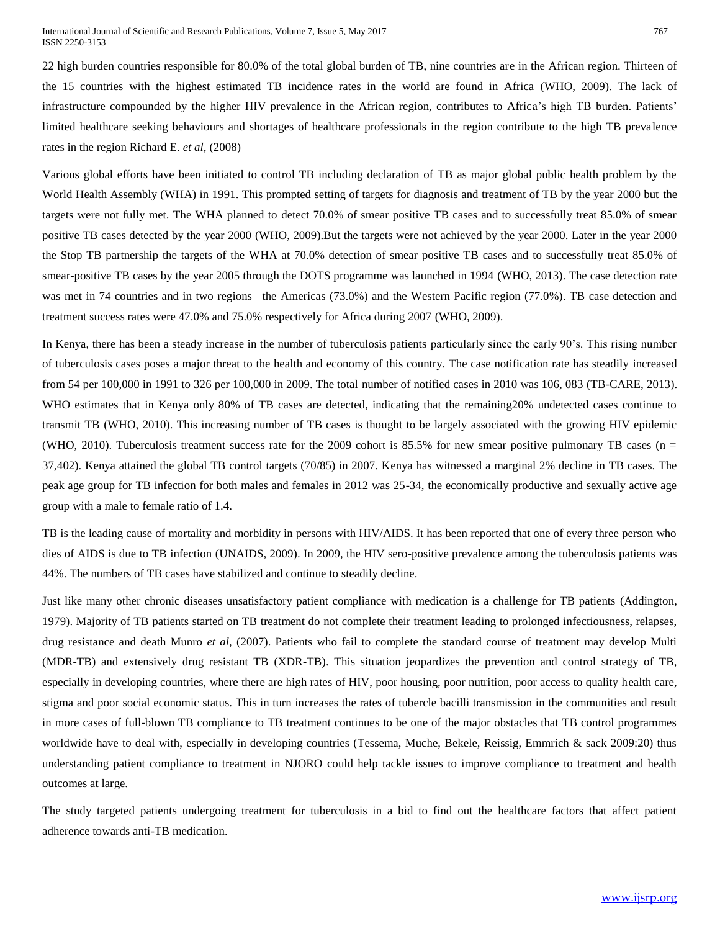22 high burden countries responsible for 80.0% of the total global burden of TB, nine countries are in the African region. Thirteen of the 15 countries with the highest estimated TB incidence rates in the world are found in Africa (WHO, 2009). The lack of infrastructure compounded by the higher HIV prevalence in the African region, contributes to Africa's high TB burden. Patients' limited healthcare seeking behaviours and shortages of healthcare professionals in the region contribute to the high TB prevalence rates in the region Richard E. *et al,* (2008)

Various global efforts have been initiated to control TB including declaration of TB as major global public health problem by the World Health Assembly (WHA) in 1991. This prompted setting of targets for diagnosis and treatment of TB by the year 2000 but the targets were not fully met. The WHA planned to detect 70.0% of smear positive TB cases and to successfully treat 85.0% of smear positive TB cases detected by the year 2000 (WHO, 2009).But the targets were not achieved by the year 2000. Later in the year 2000 the Stop TB partnership the targets of the WHA at 70.0% detection of smear positive TB cases and to successfully treat 85.0% of smear-positive TB cases by the year 2005 through the DOTS programme was launched in 1994 (WHO, 2013). The case detection rate was met in 74 countries and in two regions –the Americas (73.0%) and the Western Pacific region (77.0%). TB case detection and treatment success rates were 47.0% and 75.0% respectively for Africa during 2007 (WHO, 2009).

In Kenya, there has been a steady increase in the number of tuberculosis patients particularly since the early 90's. This rising number of tuberculosis cases poses a major threat to the health and economy of this country. The case notification rate has steadily increased from 54 per 100,000 in 1991 to 326 per 100,000 in 2009. The total number of notified cases in 2010 was 106, 083 (TB-CARE, 2013). WHO estimates that in Kenya only 80% of TB cases are detected, indicating that the remaining20% undetected cases continue to transmit TB (WHO, 2010). This increasing number of TB cases is thought to be largely associated with the growing HIV epidemic (WHO, 2010). Tuberculosis treatment success rate for the 2009 cohort is 85.5% for new smear positive pulmonary TB cases ( $n =$ 37,402). Kenya attained the global TB control targets (70/85) in 2007. Kenya has witnessed a marginal 2% decline in TB cases. The peak age group for TB infection for both males and females in 2012 was 25-34, the economically productive and sexually active age group with a male to female ratio of 1.4.

TB is the leading cause of mortality and morbidity in persons with HIV/AIDS. It has been reported that one of every three person who dies of AIDS is due to TB infection (UNAIDS, 2009). In 2009, the HIV sero-positive prevalence among the tuberculosis patients was 44%. The numbers of TB cases have stabilized and continue to steadily decline.

Just like many other chronic diseases unsatisfactory patient compliance with medication is a challenge for TB patients (Addington, 1979). Majority of TB patients started on TB treatment do not complete their treatment leading to prolonged infectiousness, relapses, drug resistance and death Munro *et al*, (2007). Patients who fail to complete the standard course of treatment may develop Multi (MDR-TB) and extensively drug resistant TB (XDR-TB). This situation jeopardizes the prevention and control strategy of TB, especially in developing countries, where there are high rates of HIV, poor housing, poor nutrition, poor access to quality health care, stigma and poor social economic status. This in turn increases the rates of tubercle bacilli transmission in the communities and result in more cases of full-blown TB compliance to TB treatment continues to be one of the major obstacles that TB control programmes worldwide have to deal with, especially in developing countries (Tessema, Muche, Bekele, Reissig, Emmrich & sack 2009:20) thus understanding patient compliance to treatment in NJORO could help tackle issues to improve compliance to treatment and health outcomes at large.

The study targeted patients undergoing treatment for tuberculosis in a bid to find out the healthcare factors that affect patient adherence towards anti-TB medication.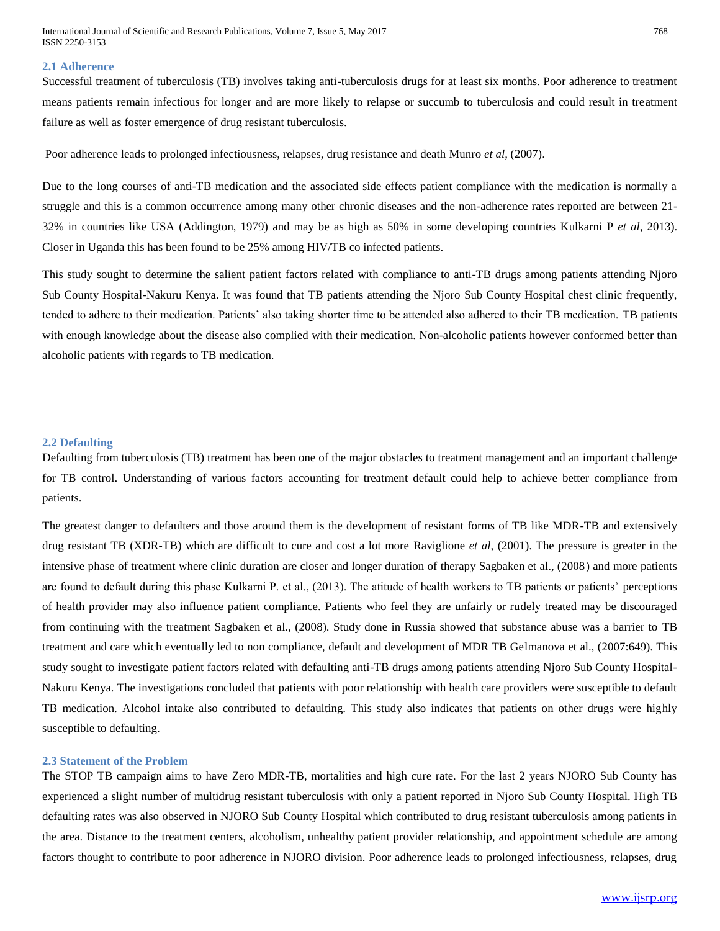International Journal of Scientific and Research Publications, Volume 7, Issue 5, May 2017 ISSN 2250-3153

#### **2.1 Adherence**

Successful treatment of tuberculosis (TB) involves taking anti-tuberculosis drugs for at least six months. Poor adherence to treatment means patients remain infectious for longer and are more likely to relapse or succumb to tuberculosis and could result in treatment failure as well as foster emergence of drug resistant tuberculosis.

Poor adherence leads to prolonged infectiousness, relapses, drug resistance and death Munro *et al,* (2007).

Due to the long courses of anti-TB medication and the associated side effects patient compliance with the medication is normally a struggle and this is a common occurrence among many other chronic diseases and the non-adherence rates reported are between 21- 32% in countries like USA (Addington, 1979) and may be as high as 50% in some developing countries Kulkarni P *et al*, 2013). Closer in Uganda this has been found to be 25% among HIV/TB co infected patients.

This study sought to determine the salient patient factors related with compliance to anti-TB drugs among patients attending Njoro Sub County Hospital-Nakuru Kenya. It was found that TB patients attending the Njoro Sub County Hospital chest clinic frequently, tended to adhere to their medication. Patients' also taking shorter time to be attended also adhered to their TB medication. TB patients with enough knowledge about the disease also complied with their medication. Non-alcoholic patients however conformed better than alcoholic patients with regards to TB medication.

#### **2.2 Defaulting**

Defaulting from tuberculosis (TB) treatment has been one of the major obstacles to treatment management and an important challenge for TB control. Understanding of various factors accounting for treatment default could help to achieve better compliance from patients.

The greatest danger to defaulters and those around them is the development of resistant forms of TB like MDR-TB and extensively drug resistant TB (XDR-TB) which are difficult to cure and cost a lot more Raviglione *et al,* (2001). The pressure is greater in the intensive phase of treatment where clinic duration are closer and longer duration of therapy Sagbaken et al., (2008) and more patients are found to default during this phase Kulkarni P. et al., (2013). The atitude of health workers to TB patients or patients' perceptions of health provider may also influence patient compliance. Patients who feel they are unfairly or rudely treated may be discouraged from continuing with the treatment Sagbaken et al., (2008). Study done in Russia showed that substance abuse was a barrier to TB treatment and care which eventually led to non compliance, default and development of MDR TB Gelmanova et al., (2007:649). This study sought to investigate patient factors related with defaulting anti-TB drugs among patients attending Njoro Sub County Hospital-Nakuru Kenya. The investigations concluded that patients with poor relationship with health care providers were susceptible to default TB medication. Alcohol intake also contributed to defaulting. This study also indicates that patients on other drugs were highly susceptible to defaulting.

#### **2.3 Statement of the Problem**

The STOP TB campaign aims to have Zero MDR-TB, mortalities and high cure rate. For the last 2 years NJORO Sub County has experienced a slight number of multidrug resistant tuberculosis with only a patient reported in Njoro Sub County Hospital. High TB defaulting rates was also observed in NJORO Sub County Hospital which contributed to drug resistant tuberculosis among patients in the area. Distance to the treatment centers, alcoholism, unhealthy patient provider relationship, and appointment schedule are among factors thought to contribute to poor adherence in NJORO division. Poor adherence leads to prolonged infectiousness, relapses, drug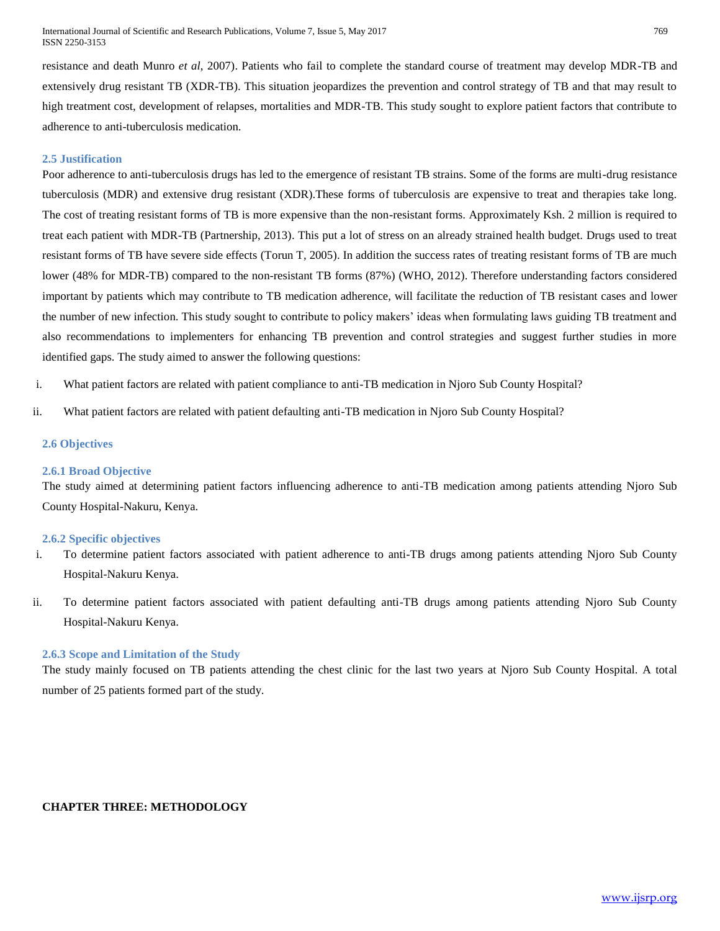resistance and death Munro *et al*, 2007). Patients who fail to complete the standard course of treatment may develop MDR-TB and extensively drug resistant TB (XDR-TB). This situation jeopardizes the prevention and control strategy of TB and that may result to high treatment cost, development of relapses, mortalities and MDR-TB. This study sought to explore patient factors that contribute to adherence to anti-tuberculosis medication.

## **2.5 Justification**

Poor adherence to anti-tuberculosis drugs has led to the emergence of resistant TB strains. Some of the forms are multi-drug resistance tuberculosis (MDR) and extensive drug resistant (XDR).These forms of tuberculosis are expensive to treat and therapies take long. The cost of treating resistant forms of TB is more expensive than the non-resistant forms. Approximately Ksh. 2 million is required to treat each patient with MDR-TB (Partnership, 2013). This put a lot of stress on an already strained health budget. Drugs used to treat resistant forms of TB have severe side effects (Torun T, 2005). In addition the success rates of treating resistant forms of TB are much lower (48% for MDR-TB) compared to the non-resistant TB forms (87%) (WHO, 2012). Therefore understanding factors considered important by patients which may contribute to TB medication adherence, will facilitate the reduction of TB resistant cases and lower the number of new infection. This study sought to contribute to policy makers' ideas when formulating laws guiding TB treatment and also recommendations to implementers for enhancing TB prevention and control strategies and suggest further studies in more identified gaps. The study aimed to answer the following questions:

i. What patient factors are related with patient compliance to anti-TB medication in Njoro Sub County Hospital?

ii. What patient factors are related with patient defaulting anti-TB medication in Njoro Sub County Hospital?

## **2.6 Objectives**

## **2.6.1 Broad Objective**

The study aimed at determining patient factors influencing adherence to anti-TB medication among patients attending Njoro Sub County Hospital-Nakuru, Kenya.

## **2.6.2 Specific objectives**

- i. To determine patient factors associated with patient adherence to anti-TB drugs among patients attending Njoro Sub County Hospital-Nakuru Kenya.
- ii. To determine patient factors associated with patient defaulting anti-TB drugs among patients attending Njoro Sub County Hospital-Nakuru Kenya.

## **2.6.3 Scope and Limitation of the Study**

The study mainly focused on TB patients attending the chest clinic for the last two years at Njoro Sub County Hospital. A total number of 25 patients formed part of the study.

## **CHAPTER THREE: METHODOLOGY**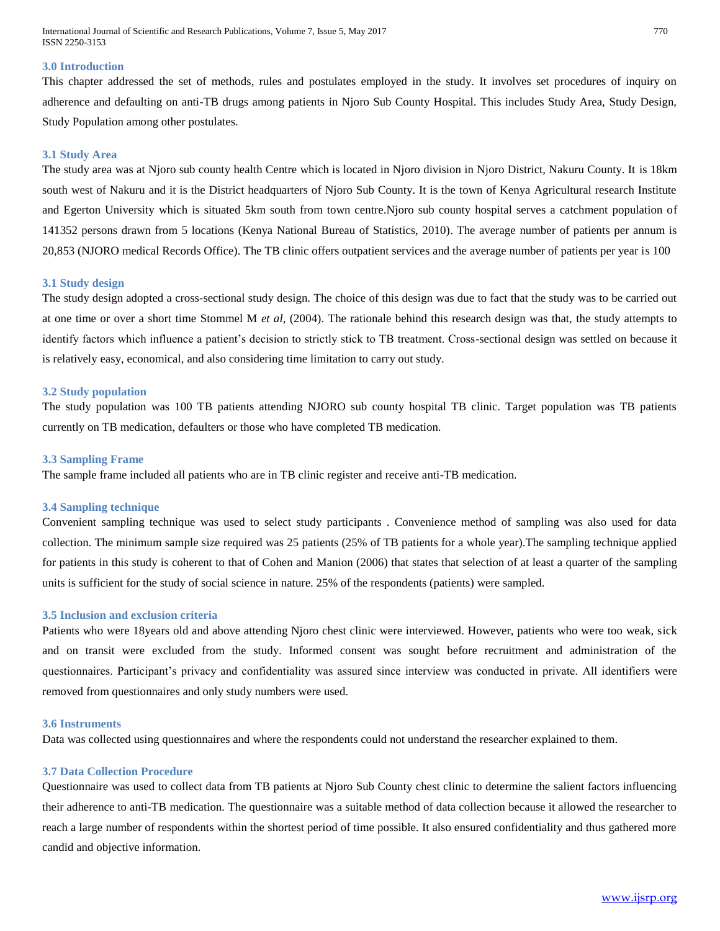International Journal of Scientific and Research Publications, Volume 7, Issue 5, May 2017 ISSN 2250-3153

#### **3.0 Introduction**

This chapter addressed the set of methods, rules and postulates employed in the study. It involves set procedures of inquiry on adherence and defaulting on anti-TB drugs among patients in Njoro Sub County Hospital. This includes Study Area, Study Design, Study Population among other postulates.

#### **3.1 Study Area**

The study area was at Njoro sub county health Centre which is located in Njoro division in Njoro District, Nakuru County. It is 18km south west of Nakuru and it is the District headquarters of Njoro Sub County. It is the town of Kenya Agricultural research Institute and Egerton University which is situated 5km south from town centre.Njoro sub county hospital serves a catchment population of 141352 persons drawn from 5 locations (Kenya National Bureau of Statistics, 2010). The average number of patients per annum is 20,853 (NJORO medical Records Office). The TB clinic offers outpatient services and the average number of patients per year is 100

#### **3.1 Study design**

The study design adopted a cross-sectional study design. The choice of this design was due to fact that the study was to be carried out at one time or over a short time Stommel M *et al*, (2004). The rationale behind this research design was that, the study attempts to identify factors which influence a patient's decision to strictly stick to TB treatment. Cross-sectional design was settled on because it is relatively easy, economical, and also considering time limitation to carry out study.

#### **3.2 Study population**

The study population was 100 TB patients attending NJORO sub county hospital TB clinic. Target population was TB patients currently on TB medication, defaulters or those who have completed TB medication.

#### **3.3 Sampling Frame**

The sample frame included all patients who are in TB clinic register and receive anti-TB medication.

#### **3.4 Sampling technique**

Convenient sampling technique was used to select study participants . Convenience method of sampling was also used for data collection. The minimum sample size required was 25 patients (25% of TB patients for a whole year).The sampling technique applied for patients in this study is coherent to that of Cohen and Manion (2006) that states that selection of at least a quarter of the sampling units is sufficient for the study of social science in nature. 25% of the respondents (patients) were sampled.

#### **3.5 Inclusion and exclusion criteria**

Patients who were 18years old and above attending Njoro chest clinic were interviewed. However, patients who were too weak, sick and on transit were excluded from the study. Informed consent was sought before recruitment and administration of the questionnaires. Participant's privacy and confidentiality was assured since interview was conducted in private. All identifiers were removed from questionnaires and only study numbers were used.

#### **3.6 Instruments**

Data was collected using questionnaires and where the respondents could not understand the researcher explained to them.

#### **3.7 Data Collection Procedure**

Questionnaire was used to collect data from TB patients at Njoro Sub County chest clinic to determine the salient factors influencing their adherence to anti-TB medication. The questionnaire was a suitable method of data collection because it allowed the researcher to reach a large number of respondents within the shortest period of time possible. It also ensured confidentiality and thus gathered more candid and objective information.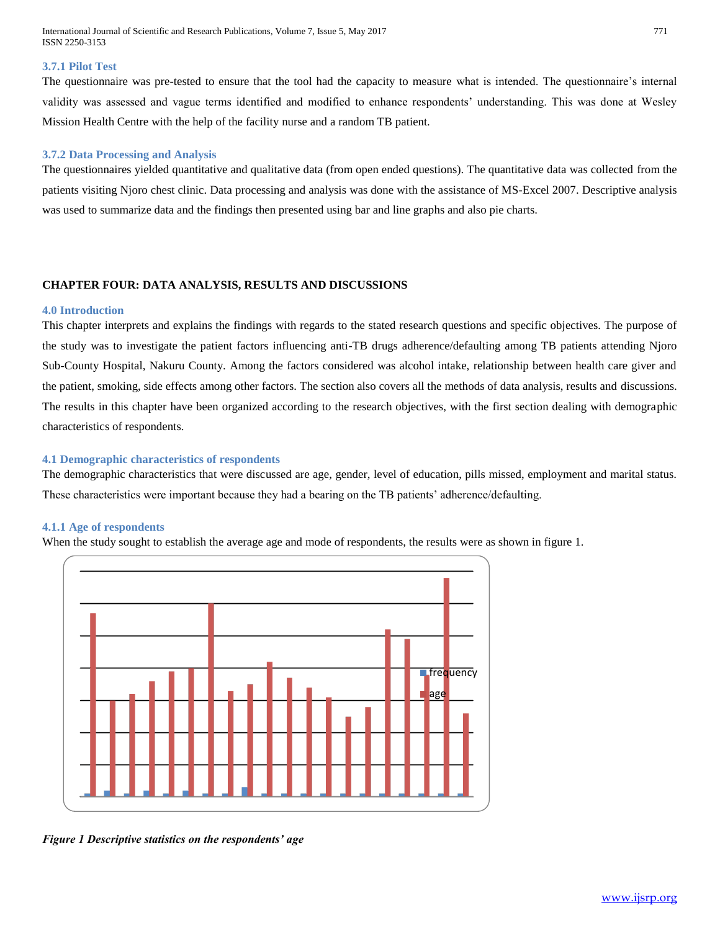International Journal of Scientific and Research Publications, Volume 7, Issue 5, May 2017 ISSN 2250-3153

#### **3.7.1 Pilot Test**

The questionnaire was pre-tested to ensure that the tool had the capacity to measure what is intended. The questionnaire's internal validity was assessed and vague terms identified and modified to enhance respondents' understanding. This was done at Wesley Mission Health Centre with the help of the facility nurse and a random TB patient.

#### **3.7.2 Data Processing and Analysis**

The questionnaires yielded quantitative and qualitative data (from open ended questions). The quantitative data was collected from the patients visiting Njoro chest clinic. Data processing and analysis was done with the assistance of MS-Excel 2007. Descriptive analysis was used to summarize data and the findings then presented using bar and line graphs and also pie charts.

## **CHAPTER FOUR: DATA ANALYSIS, RESULTS AND DISCUSSIONS**

## **4.0 Introduction**

This chapter interprets and explains the findings with regards to the stated research questions and specific objectives. The purpose of the study was to investigate the patient factors influencing anti-TB drugs adherence/defaulting among TB patients attending Njoro Sub-County Hospital, Nakuru County. Among the factors considered was alcohol intake, relationship between health care giver and the patient, smoking, side effects among other factors. The section also covers all the methods of data analysis, results and discussions. The results in this chapter have been organized according to the research objectives, with the first section dealing with demographic characteristics of respondents.

#### **4.1 Demographic characteristics of respondents**

The demographic characteristics that were discussed are age, gender, level of education, pills missed, employment and marital status. These characteristics were important because they had a bearing on the TB patients' adherence/defaulting.

#### **4.1.1 Age of respondents**

When the study sought to establish the average age and mode of respondents, the results were as shown in figure 1.



*Figure 1 Descriptive statistics on the respondents' age*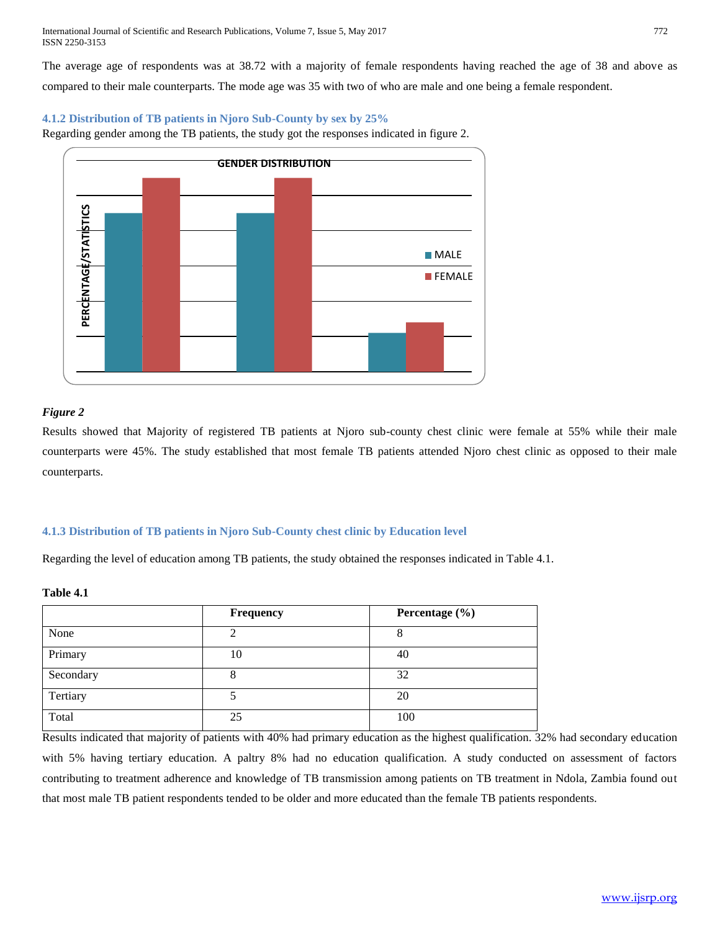The average age of respondents was at 38.72 with a majority of female respondents having reached the age of 38 and above as compared to their male counterparts. The mode age was 35 with two of who are male and one being a female respondent.

## **4.1.2 Distribution of TB patients in Njoro Sub-County by sex by 25%**

Regarding gender among the TB patients, the study got the responses indicated in figure 2.



## *Figure 2*

Results showed that Majority of registered TB patients at Njoro sub-county chest clinic were female at 55% while their male counterparts were 45%. The study established that most female TB patients attended Njoro chest clinic as opposed to their male counterparts.

## **4.1.3 Distribution of TB patients in Njoro Sub-County chest clinic by Education level**

Regarding the level of education among TB patients, the study obtained the responses indicated in Table 4.1.

## **Table 4.1**

|           | Frequency | Percentage $(\% )$ |
|-----------|-----------|--------------------|
| None      |           | ŏ                  |
| Primary   | 10        | 40                 |
| Secondary | ◠         | 32                 |
| Tertiary  |           | 20                 |
| Total     | 25        | 100                |

Results indicated that majority of patients with 40% had primary education as the highest qualification. 32% had secondary education with 5% having tertiary education. A paltry 8% had no education qualification. A study conducted on assessment of factors contributing to treatment adherence and knowledge of TB transmission among patients on TB treatment in Ndola, Zambia found out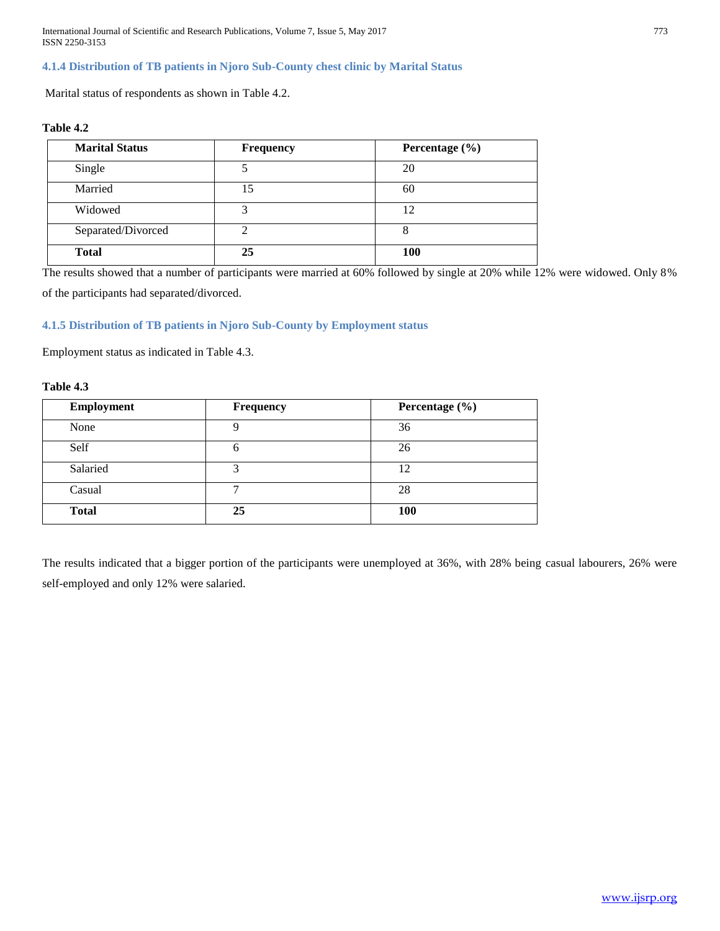International Journal of Scientific and Research Publications, Volume 7, Issue 5, May 2017 773 ISSN 2250-3153

## **4.1.4 Distribution of TB patients in Njoro Sub-County chest clinic by Marital Status**

Marital status of respondents as shown in Table 4.2.

#### **Table 4.2**

| <b>Marital Status</b> | <b>Frequency</b> | Percentage $(\% )$ |
|-----------------------|------------------|--------------------|
| Single                |                  | 20                 |
| Married               | 15               | 60                 |
| Widowed               |                  | 12                 |
| Separated/Divorced    | ◠                |                    |
| <b>Total</b>          | 25               | 100                |

The results showed that a number of participants were married at 60% followed by single at 20% while 12% were widowed. Only 8%

of the participants had separated/divorced.

## **4.1.5 Distribution of TB patients in Njoro Sub-County by Employment status**

Employment status as indicated in Table 4.3.

## **Table 4.3**

| <b>Employment</b> | <b>Frequency</b> | Percentage $(\% )$ |
|-------------------|------------------|--------------------|
| None              |                  | 36                 |
| Self              | <sub>b</sub>     | 26                 |
| Salaried          | 3                | 12                 |
| Casual            |                  | 28                 |
| <b>Total</b>      | 25               | <b>100</b>         |

The results indicated that a bigger portion of the participants were unemployed at 36%, with 28% being casual labourers, 26% were self-employed and only 12% were salaried.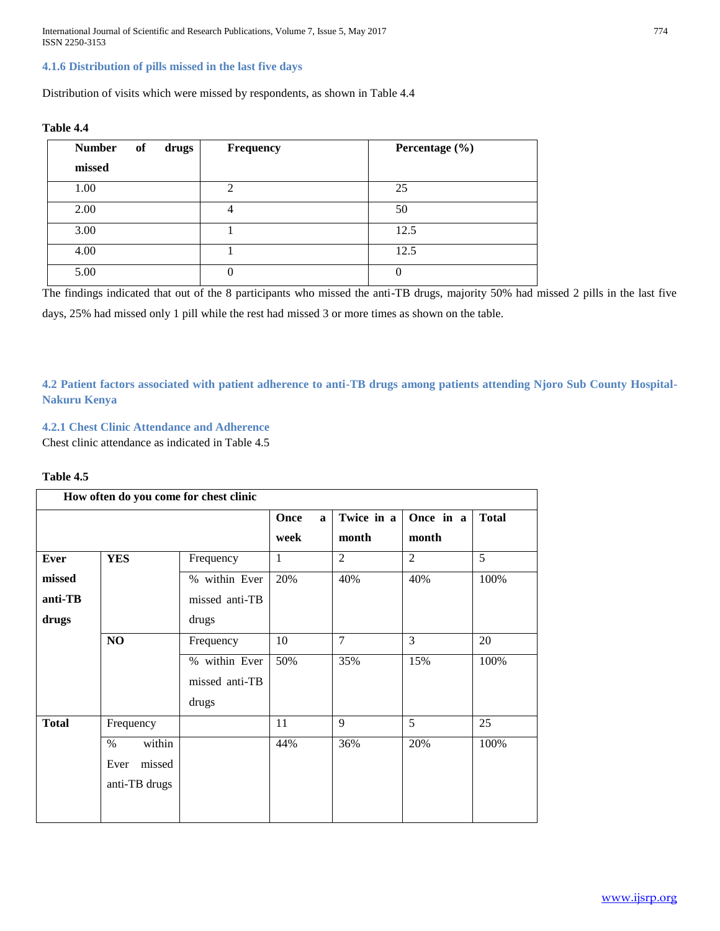## **4.1.6 Distribution of pills missed in the last five days**

Distribution of visits which were missed by respondents, as shown in Table 4.4

#### **Table 4.4**

| <b>Number</b> | of<br>drugs | <b>Frequency</b> | Percentage $(\% )$ |
|---------------|-------------|------------------|--------------------|
| missed        |             |                  |                    |
| 1.00          |             | $\overline{2}$   | 25                 |
| 2.00          |             | 4                | 50                 |
| 3.00          |             |                  | 12.5               |
| 4.00          |             |                  | 12.5               |
| 5.00          |             | 0                | 0                  |

The findings indicated that out of the 8 participants who missed the anti-TB drugs, majority 50% had missed 2 pills in the last five days, 25% had missed only 1 pill while the rest had missed 3 or more times as shown on the table.

**4.2 Patient factors associated with patient adherence to anti-TB drugs among patients attending Njoro Sub County Hospital-Nakuru Kenya**

# **4.2.1 Chest Clinic Attendance and Adherence**

Chest clinic attendance as indicated in Table 4.5

#### **Table 4.5**

|        |                                                        | Once<br>a    | Twice in a     | Once in a      | <b>Total</b>   |
|--------|--------------------------------------------------------|--------------|----------------|----------------|----------------|
|        |                                                        | week         | month          | month          |                |
|        | Frequency                                              | $\mathbf{1}$ | $\overline{2}$ | $\overline{2}$ | $\overline{5}$ |
|        | % within Ever                                          | 20%          | 40%            | 40%            | 100%           |
|        | missed anti-TB                                         |              |                |                |                |
|        | drugs                                                  |              |                |                |                |
|        | Frequency                                              | 10           | $\overline{7}$ | 3              | 20             |
|        | % within Ever                                          | 50%          | 35%            | 15%            | 100%           |
|        | missed anti-TB                                         |              |                |                |                |
|        | drugs                                                  |              |                |                |                |
|        |                                                        | 11           | $\overline{9}$ | 5              | 25             |
| within |                                                        | 44%          | 36%            | 20%            | 100%           |
| missed |                                                        |              |                |                |                |
|        |                                                        |              |                |                |                |
|        |                                                        |              |                |                |                |
|        | <b>YES</b><br>NO<br>Frequency<br>Ever<br>anti-TB drugs |              |                |                |                |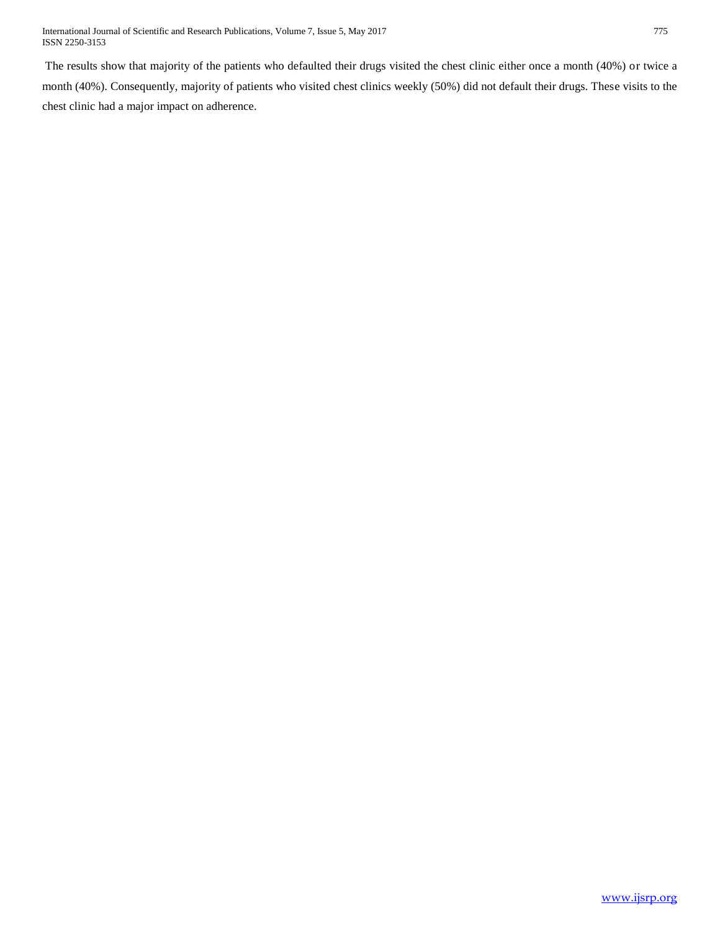International Journal of Scientific and Research Publications, Volume 7, Issue 5, May 2017 775 ISSN 2250-3153

The results show that majority of the patients who defaulted their drugs visited the chest clinic either once a month (40%) or twice a month (40%). Consequently, majority of patients who visited chest clinics weekly (50%) did not default their drugs. These visits to the chest clinic had a major impact on adherence.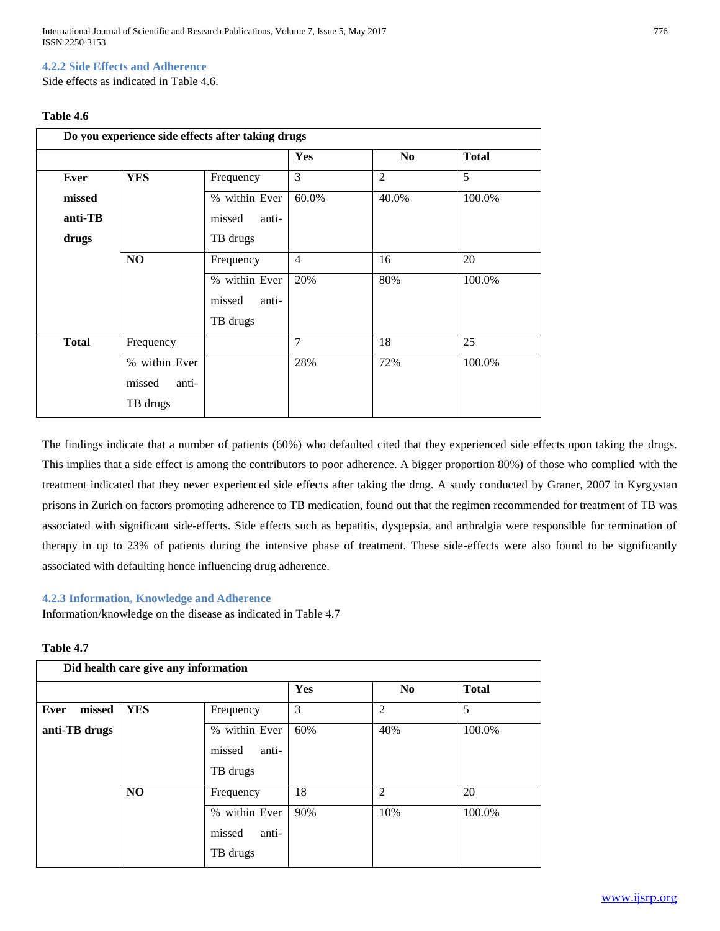## **4.2.2 Side Effects and Adherence**

Side effects as indicated in Table 4.6.

## **Table 4.6**

|                            |                                              |                                                           | Yes                   | N <sub>0</sub> | <b>Total</b> |
|----------------------------|----------------------------------------------|-----------------------------------------------------------|-----------------------|----------------|--------------|
| Ever                       | <b>YES</b>                                   | Frequency                                                 | 3                     | $\overline{2}$ | 5            |
| missed<br>anti-TB<br>drugs |                                              | % within Ever<br>missed<br>anti-<br>TB drugs              | 60.0%                 | 40.0%          | 100.0%       |
|                            | NO.                                          | Frequency<br>% within Ever<br>missed<br>anti-<br>TB drugs | $\overline{4}$<br>20% | 16<br>80%      | 20<br>100.0% |
| <b>Total</b>               | Frequency                                    |                                                           | $\overline{7}$        | 18             | 25           |
|                            | % within Ever<br>missed<br>anti-<br>TB drugs |                                                           | 28%                   | 72%            | 100.0%       |

The findings indicate that a number of patients (60%) who defaulted cited that they experienced side effects upon taking the drugs. This implies that a side effect is among the contributors to poor adherence. A bigger proportion 80%) of those who complied with the treatment indicated that they never experienced side effects after taking the drug. A study conducted by Graner, 2007 in Kyrgystan prisons in Zurich on factors promoting adherence to TB medication, found out that the regimen recommended for treatment of TB was associated with significant side-effects. Side effects such as hepatitis, dyspepsia, and arthralgia were responsible for termination of therapy in up to 23% of patients during the intensive phase of treatment. These side-effects were also found to be significantly associated with defaulting hence influencing drug adherence.

## **4.2.3 Information, Knowledge and Adherence**

Information/knowledge on the disease as indicated in Table 4.7

## **Table 4.7**

|                | Did health care give any information |                                              |     |                |              |
|----------------|--------------------------------------|----------------------------------------------|-----|----------------|--------------|
|                |                                      |                                              | Yes | N <sub>0</sub> | <b>Total</b> |
| missed<br>Ever | <b>YES</b>                           | Frequency                                    | 3   | 2              | 5            |
| anti-TB drugs  |                                      | % within Ever<br>missed<br>anti-<br>TB drugs | 60% | 40%            | 100.0%       |
|                | N <sub>O</sub>                       | Frequency                                    | 18  | $\overline{2}$ | 20           |
|                |                                      | % within Ever<br>missed<br>anti-<br>TB drugs | 90% | 10%            | 100.0%       |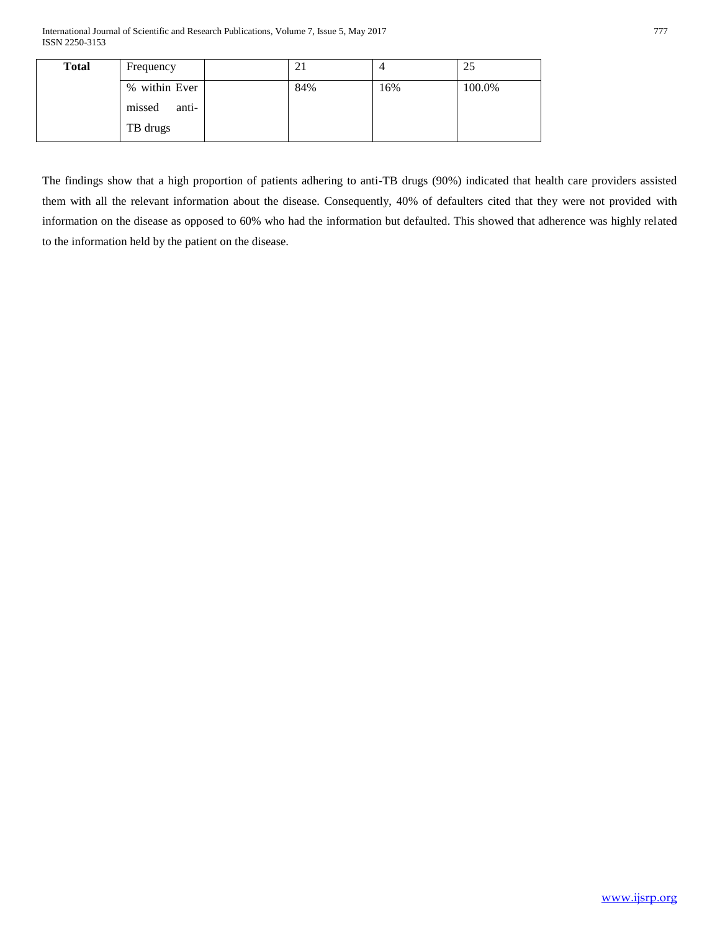| <b>Total</b> | Frequency       |     |     | 25     |
|--------------|-----------------|-----|-----|--------|
|              | % within Ever   | 84% | 16% | 100.0% |
|              | missed<br>anti- |     |     |        |
|              | TB drugs        |     |     |        |

The findings show that a high proportion of patients adhering to anti-TB drugs (90%) indicated that health care providers assisted them with all the relevant information about the disease. Consequently, 40% of defaulters cited that they were not provided with information on the disease as opposed to 60% who had the information but defaulted. This showed that adherence was highly related to the information held by the patient on the disease.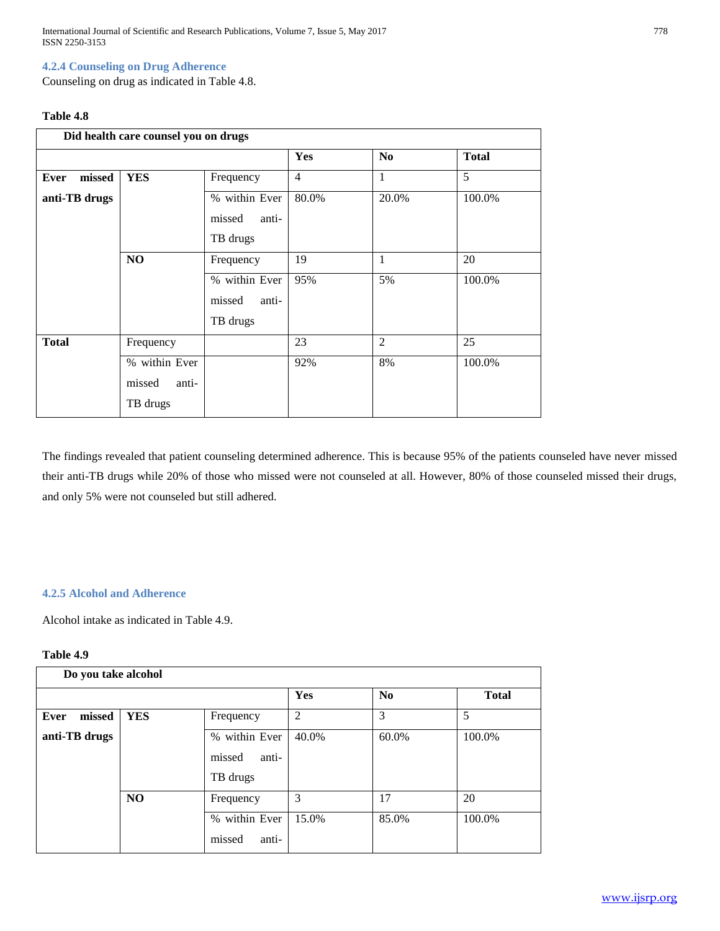## **4.2.4 Counseling on Drug Adherence**

Counseling on drug as indicated in Table 4.8.

# **Table 4.8**

|                | Did health care counsel you on drugs         |                                              |                |                |              |
|----------------|----------------------------------------------|----------------------------------------------|----------------|----------------|--------------|
|                |                                              |                                              | <b>Yes</b>     | N <sub>0</sub> | <b>Total</b> |
| missed<br>Ever | <b>YES</b>                                   | Frequency                                    | $\overline{4}$ | 1              | 5            |
| anti-TB drugs  |                                              | % within Ever<br>missed<br>anti-<br>TB drugs | 80.0%          | 20.0%          | 100.0%       |
|                | N <sub>O</sub>                               | Frequency                                    | 19             | 1              | 20           |
|                |                                              | % within Ever<br>missed<br>anti-<br>TB drugs | 95%            | 5%             | 100.0%       |
| <b>Total</b>   | Frequency                                    |                                              | 23             | $\overline{2}$ | 25           |
|                | % within Ever<br>missed<br>anti-<br>TB drugs |                                              | 92%            | 8%             | 100.0%       |

The findings revealed that patient counseling determined adherence. This is because 95% of the patients counseled have never missed their anti-TB drugs while 20% of those who missed were not counseled at all. However, 80% of those counseled missed their drugs, and only 5% were not counseled but still adhered.

## **4.2.5 Alcohol and Adherence**

Alcohol intake as indicated in Table 4.9.

## **Table 4.9**

| Do you take alcohol |                |                                               |                |                |              |
|---------------------|----------------|-----------------------------------------------|----------------|----------------|--------------|
|                     |                |                                               | Yes            | N <sub>0</sub> | <b>Total</b> |
| Ever<br>missed      | <b>YES</b>     | Frequency                                     | $\overline{c}$ | 3              | 5            |
| anti-TB drugs       |                | % within Ever<br>missed<br>anti-<br>TB drugs  | 40.0%          | 60.0%          | 100.0%       |
|                     | N <sub>O</sub> | Frequency<br>% within Ever<br>missed<br>anti- | 3<br>15.0%     | 17<br>85.0%    | 20<br>100.0% |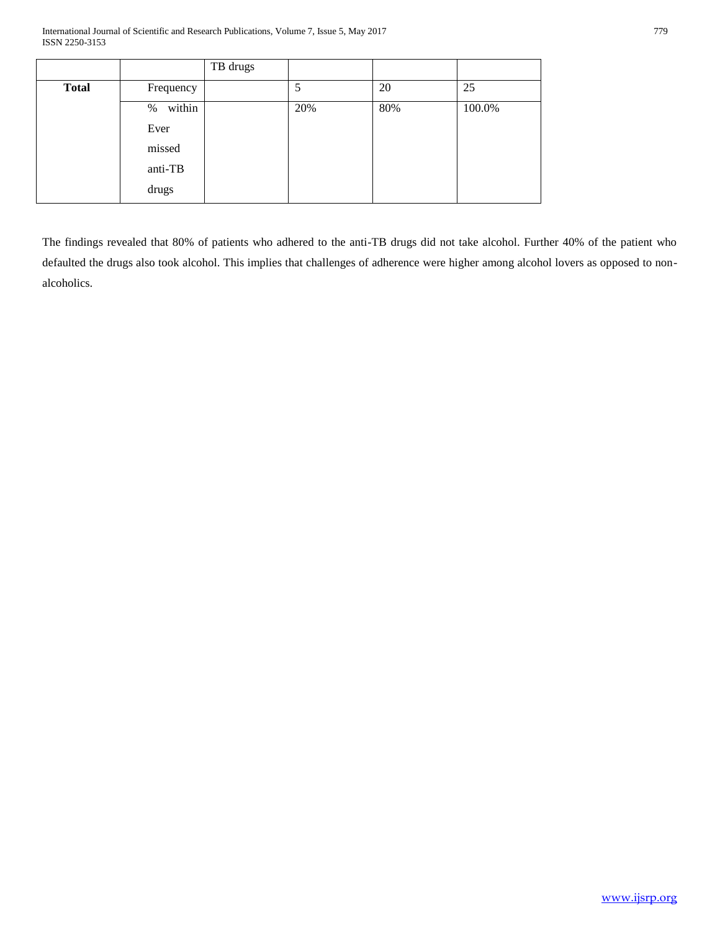|              |                | TB drugs |     |     |        |
|--------------|----------------|----------|-----|-----|--------|
| <b>Total</b> | Frequency      |          | 5   | 20  | 25     |
|              | within<br>$\%$ |          | 20% | 80% | 100.0% |
|              | Ever           |          |     |     |        |
|              | missed         |          |     |     |        |
|              | anti-TB        |          |     |     |        |
|              | drugs          |          |     |     |        |

The findings revealed that 80% of patients who adhered to the anti-TB drugs did not take alcohol. Further 40% of the patient who defaulted the drugs also took alcohol. This implies that challenges of adherence were higher among alcohol lovers as opposed to nonalcoholics.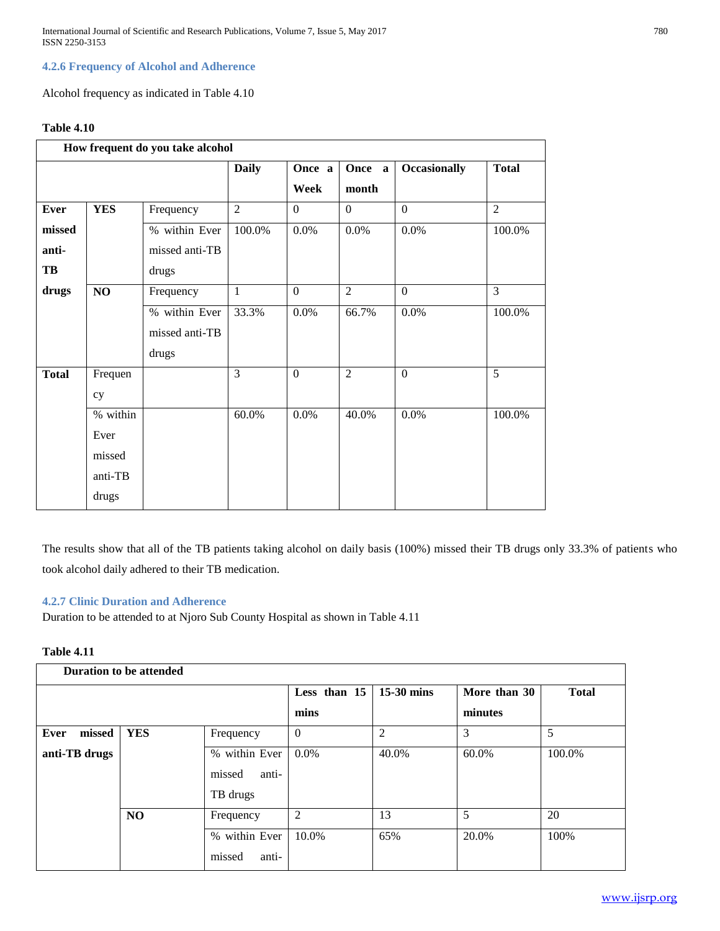## **4.2.6 Frequency of Alcohol and Adherence**

Alcohol frequency as indicated in Table 4.10

## **Table 4.10**

|              |            | How frequent do you take alcohol |                |                  |                  |                     |                |
|--------------|------------|----------------------------------|----------------|------------------|------------------|---------------------|----------------|
|              |            |                                  | <b>Daily</b>   | Once a           | Once a           | <b>Occasionally</b> | <b>Total</b>   |
|              |            |                                  |                | Week             | month            |                     |                |
| <b>Ever</b>  | <b>YES</b> | Frequency                        | $\overline{2}$ | $\boldsymbol{0}$ | $\boldsymbol{0}$ | $\boldsymbol{0}$    | $\overline{2}$ |
| missed       |            | % within Ever                    | 100.0%         | 0.0%             | 0.0%             | 0.0%                | 100.0%         |
| anti-        |            | missed anti-TB                   |                |                  |                  |                     |                |
| TB           |            | drugs                            |                |                  |                  |                     |                |
| drugs        | NO         | Frequency                        | $\mathbf{1}$   | $\Omega$         | $\overline{2}$   | $\Omega$            | $\overline{3}$ |
|              |            | % within Ever                    | 33.3%          | 0.0%             | 66.7%            | 0.0%                | 100.0%         |
|              |            | missed anti-TB                   |                |                  |                  |                     |                |
|              |            | drugs                            |                |                  |                  |                     |                |
| <b>Total</b> | Frequen    |                                  | $\overline{3}$ | $\overline{0}$   | $\overline{2}$   | $\overline{0}$      | 5              |
|              | cy         |                                  |                |                  |                  |                     |                |
|              | % within   |                                  | 60.0%          | 0.0%             | 40.0%            | 0.0%                | 100.0%         |
|              | Ever       |                                  |                |                  |                  |                     |                |
|              | missed     |                                  |                |                  |                  |                     |                |
|              | anti-TB    |                                  |                |                  |                  |                     |                |
|              | drugs      |                                  |                |                  |                  |                     |                |

The results show that all of the TB patients taking alcohol on daily basis (100%) missed their TB drugs only 33.3% of patients who took alcohol daily adhered to their TB medication.

## **4.2.7 Clinic Duration and Adherence**

Duration to be attended to at Njoro Sub County Hospital as shown in Table 4.11

## **Table 4.11**

|                         | <b>Duration to be attended</b> |                                    |                |                |              |              |
|-------------------------|--------------------------------|------------------------------------|----------------|----------------|--------------|--------------|
|                         |                                |                                    | Less than 15   | 15-30 mins     | More than 30 | <b>Total</b> |
|                         |                                |                                    | mins           |                | minutes      |              |
| missed<br>Ever          | <b>YES</b>                     | Frequency                          | $\theta$       | $\overline{2}$ | 3            | 5            |
| anti-TB drugs<br>missed |                                | % within Ever<br>anti-<br>TB drugs | 0.0%           | 40.0%          | 60.0%        | 100.0%       |
|                         | N <sub>O</sub>                 | Frequency                          | $\overline{2}$ | 13             | 5            | 20           |
|                         |                                | % within Ever<br>missed<br>anti-   | 10.0%          | 65%            | 20.0%        | 100%         |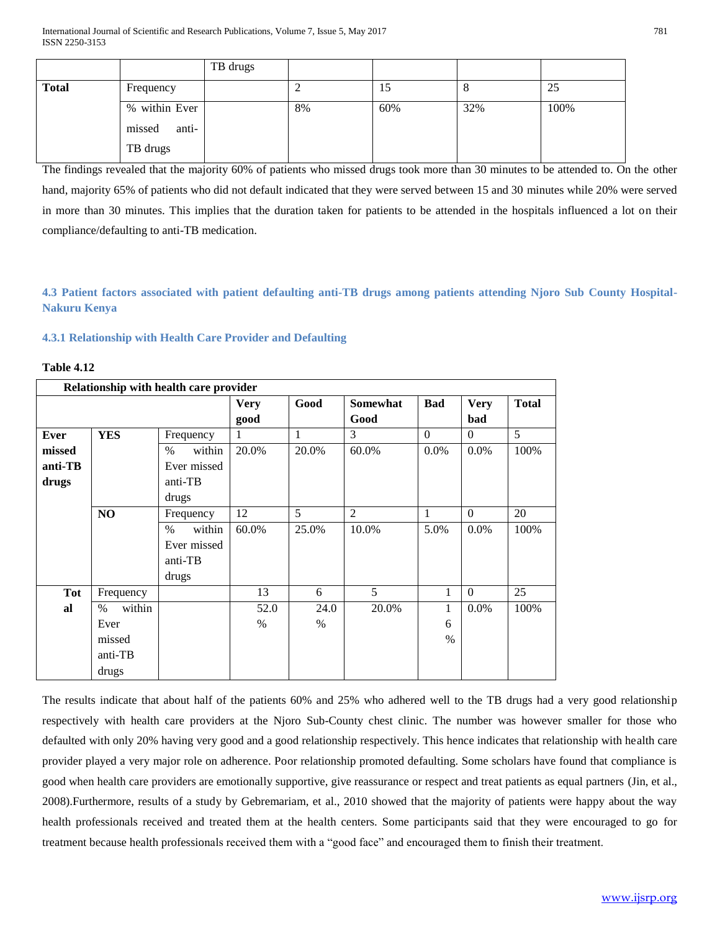|              |                 | TB drugs |    |     |         |      |
|--------------|-----------------|----------|----|-----|---------|------|
| <b>Total</b> | Frequency       |          |    | 15  | $\circ$ | 25   |
|              | % within Ever   |          | 8% | 60% | 32%     | 100% |
|              | missed<br>anti- |          |    |     |         |      |
|              | TB drugs        |          |    |     |         |      |

The findings revealed that the majority 60% of patients who missed drugs took more than 30 minutes to be attended to. On the other hand, majority 65% of patients who did not default indicated that they were served between 15 and 30 minutes while 20% were served in more than 30 minutes. This implies that the duration taken for patients to be attended in the hospitals influenced a lot on their compliance/defaulting to anti-TB medication.

**4.3 Patient factors associated with patient defaulting anti-TB drugs among patients attending Njoro Sub County Hospital-Nakuru Kenya**

## **4.3.1 Relationship with Health Care Provider and Defaulting**

#### **Table 4.12**

|            | Relationship with health care provider |                |             |       |                 |               |             |              |
|------------|----------------------------------------|----------------|-------------|-------|-----------------|---------------|-------------|--------------|
|            |                                        |                | <b>Very</b> | Good  | <b>Somewhat</b> | <b>Bad</b>    | <b>Very</b> | <b>Total</b> |
|            |                                        |                | good        |       | Good            |               | bad         |              |
| Ever       | <b>YES</b>                             | Frequency      | 1           | 1     | 3               | $\Omega$      | $\Omega$    | 5            |
| missed     |                                        | $\%$<br>within | 20.0%       | 20.0% | 60.0%           | 0.0%          | 0.0%        | 100%         |
| anti-TB    |                                        | Ever missed    |             |       |                 |               |             |              |
| drugs      |                                        | anti-TB        |             |       |                 |               |             |              |
|            |                                        | drugs          |             |       |                 |               |             |              |
|            | NO                                     | Frequency      | 12          | 5     | 2               | 1             | $\Omega$    | 20           |
|            |                                        | $\%$<br>within | 60.0%       | 25.0% | 10.0%           | 5.0%          | 0.0%        | 100%         |
|            |                                        | Ever missed    |             |       |                 |               |             |              |
|            |                                        | anti-TB        |             |       |                 |               |             |              |
|            |                                        | drugs          |             |       |                 |               |             |              |
| <b>Tot</b> | Frequency                              |                | 13          | 6     | 5               | 1             | $\Omega$    | 25           |
| al         | within<br>$\%$                         |                | 52.0        | 24.0  | 20.0%           | 1             | $0.0\%$     | 100%         |
|            | Ever                                   |                | $\%$        | $\%$  |                 | 6             |             |              |
|            | missed                                 |                |             |       |                 | $\frac{0}{0}$ |             |              |
|            | anti-TB                                |                |             |       |                 |               |             |              |
|            | drugs                                  |                |             |       |                 |               |             |              |

The results indicate that about half of the patients 60% and 25% who adhered well to the TB drugs had a very good relationship respectively with health care providers at the Njoro Sub-County chest clinic. The number was however smaller for those who defaulted with only 20% having very good and a good relationship respectively. This hence indicates that relationship with health care provider played a very major role on adherence. Poor relationship promoted defaulting. Some scholars have found that compliance is good when health care providers are emotionally supportive, give reassurance or respect and treat patients as equal partners (Jin, et al., 2008).Furthermore, results of a study by Gebremariam, et al., 2010 showed that the majority of patients were happy about the way health professionals received and treated them at the health centers. Some participants said that they were encouraged to go for treatment because health professionals received them with a "good face" and encouraged them to finish their treatment.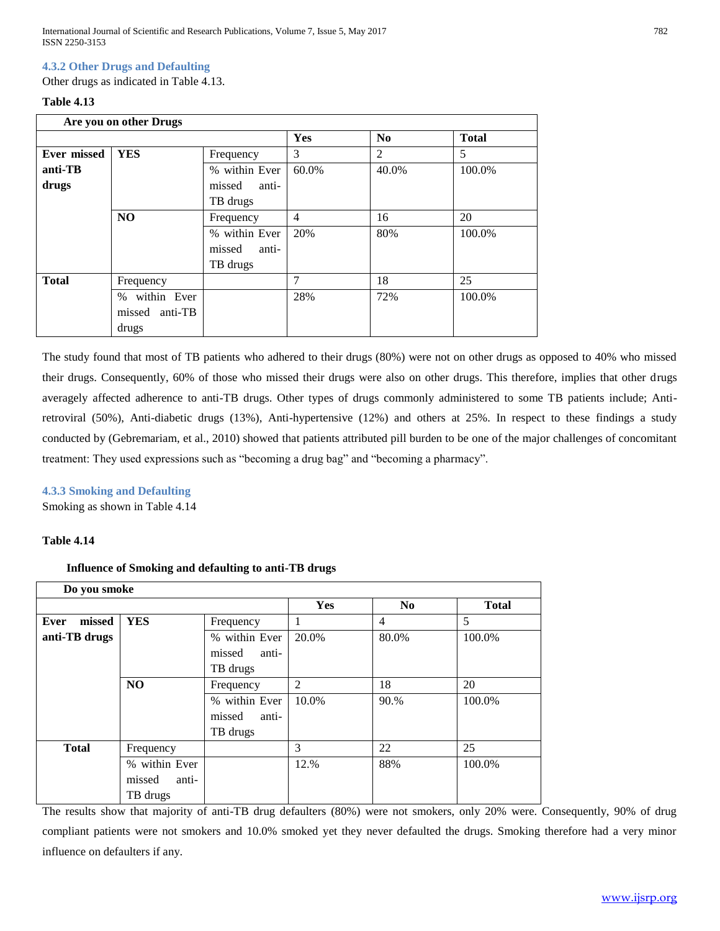## **4.3.2 Other Drugs and Defaulting**

Other drugs as indicated in Table 4.13.

## **Table 4.13**

|                    | Are you on other Drugs |                 |                |                |              |  |  |
|--------------------|------------------------|-----------------|----------------|----------------|--------------|--|--|
|                    |                        |                 | <b>Yes</b>     | No             | <b>Total</b> |  |  |
| <b>Ever missed</b> | <b>YES</b>             | Frequency       | 3              | $\overline{2}$ | 5            |  |  |
| anti-TB            |                        | % within Ever   | 60.0%          | 40.0%          | 100.0%       |  |  |
| drugs              |                        | missed<br>-anti |                |                |              |  |  |
|                    |                        | TB drugs        |                |                |              |  |  |
|                    | N <sub>O</sub>         | Frequency       | $\overline{4}$ | 16             | 20           |  |  |
|                    |                        | % within Ever   | 20%            | 80%            | 100.0%       |  |  |
|                    |                        | missed<br>anti- |                |                |              |  |  |
|                    |                        | TB drugs        |                |                |              |  |  |
| <b>Total</b>       | Frequency              |                 | 7              | 18             | 25           |  |  |
|                    | within Ever<br>$\%$    |                 | 28%            | 72%            | 100.0%       |  |  |
|                    | missed anti-TB         |                 |                |                |              |  |  |
|                    | drugs                  |                 |                |                |              |  |  |

The study found that most of TB patients who adhered to their drugs (80%) were not on other drugs as opposed to 40% who missed their drugs. Consequently, 60% of those who missed their drugs were also on other drugs. This therefore, implies that other drugs averagely affected adherence to anti-TB drugs. Other types of drugs commonly administered to some TB patients include; Antiretroviral (50%), Anti-diabetic drugs (13%), Anti-hypertensive (12%) and others at 25%. In respect to these findings a study conducted by (Gebremariam, et al., 2010) showed that patients attributed pill burden to be one of the major challenges of concomitant treatment: They used expressions such as "becoming a drug bag" and "becoming a pharmacy".

## **4.3.3 Smoking and Defaulting**

Smoking as shown in Table 4.14

## **Table 4.14**

## **Influence of Smoking and defaulting to anti-TB drugs**

|                | Do you smoke    |                 |                |                |              |  |  |  |
|----------------|-----------------|-----------------|----------------|----------------|--------------|--|--|--|
|                |                 |                 | Yes            | N <sub>0</sub> | <b>Total</b> |  |  |  |
| missed<br>Ever | <b>YES</b>      | Frequency       |                | $\overline{4}$ | 5            |  |  |  |
| anti-TB drugs  |                 | % within Ever   | 20.0%          | 80.0%          | 100.0%       |  |  |  |
|                |                 | missed<br>anti- |                |                |              |  |  |  |
|                |                 | TB drugs        |                |                |              |  |  |  |
|                | N <sub>O</sub>  | Frequency       | $\overline{2}$ | 18             | 20           |  |  |  |
|                |                 | % within Ever   | 10.0%          | 90.%           | 100.0%       |  |  |  |
|                |                 | missed<br>anti- |                |                |              |  |  |  |
|                |                 | TB drugs        |                |                |              |  |  |  |
| <b>Total</b>   | Frequency       |                 | 3              | 22             | 25           |  |  |  |
|                | % within Ever   |                 | 12.%           | 88%            | 100.0%       |  |  |  |
|                | missed<br>anti- |                 |                |                |              |  |  |  |
|                | TB drugs        |                 |                |                |              |  |  |  |

The results show that majority of anti-TB drug defaulters (80%) were not smokers, only 20% were. Consequently, 90% of drug compliant patients were not smokers and 10.0% smoked yet they never defaulted the drugs. Smoking therefore had a very minor influence on defaulters if any.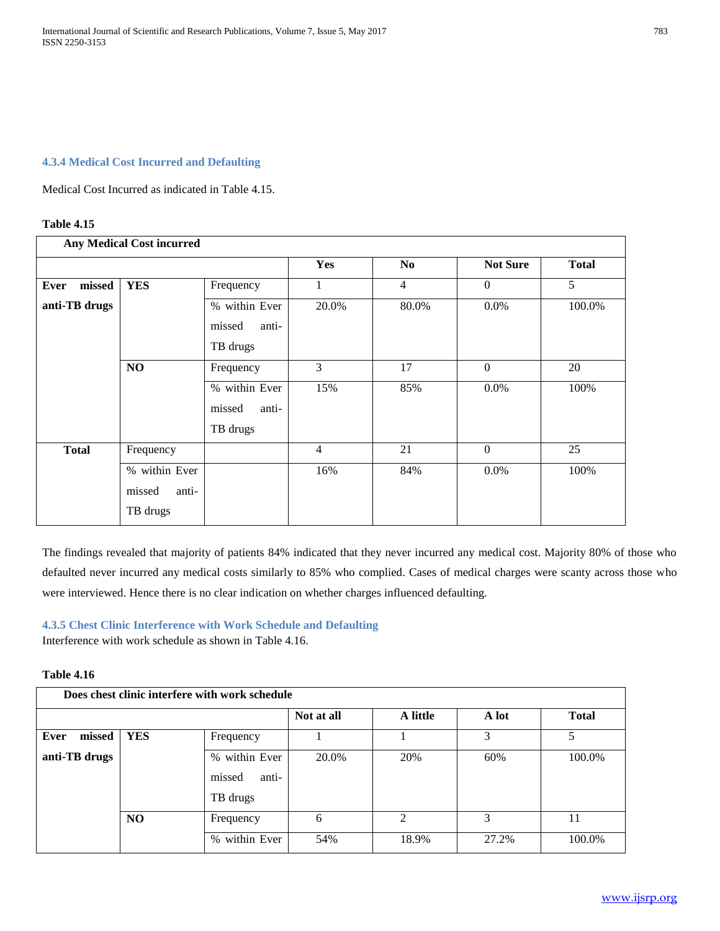## **4.3.4 Medical Cost Incurred and Defaulting**

Medical Cost Incurred as indicated in Table 4.15.

#### **Table 4.15**

|                | <b>Any Medical Cost incurred</b>             |                                              |                |                |                  |              |
|----------------|----------------------------------------------|----------------------------------------------|----------------|----------------|------------------|--------------|
|                |                                              |                                              | <b>Yes</b>     | N <sub>0</sub> | <b>Not Sure</b>  | <b>Total</b> |
| missed<br>Ever | <b>YES</b>                                   | Frequency                                    | $\mathbf 1$    | 4              | $\boldsymbol{0}$ | 5            |
| anti-TB drugs  |                                              | % within Ever<br>missed<br>anti-<br>TB drugs | 20.0%          | 80.0%          | 0.0%             | 100.0%       |
|                | NO                                           | Frequency                                    | 3              | 17             | $\mathbf{0}$     | 20           |
|                |                                              | % within Ever<br>missed<br>anti-<br>TB drugs | 15%            | 85%            | 0.0%             | 100%         |
| <b>Total</b>   | Frequency                                    |                                              | $\overline{4}$ | 21             | $\mathbf{0}$     | 25           |
|                | % within Ever<br>missed<br>anti-<br>TB drugs |                                              | 16%            | 84%            | 0.0%             | 100%         |

The findings revealed that majority of patients 84% indicated that they never incurred any medical cost. Majority 80% of those who defaulted never incurred any medical costs similarly to 85% who complied. Cases of medical charges were scanty across those who were interviewed. Hence there is no clear indication on whether charges influenced defaulting.

## **4.3.5 Chest Clinic Interference with Work Schedule and Defaulting**

Interference with work schedule as shown in Table 4.16.

# **Table 4.16**

|                | Does chest clinic interfere with work schedule |               |            |                |       |              |  |
|----------------|------------------------------------------------|---------------|------------|----------------|-------|--------------|--|
|                |                                                |               | Not at all | A little       | A lot | <b>Total</b> |  |
| missed<br>Ever | <b>YES</b>                                     | Frequency     |            |                | 3     | 5            |  |
| anti-TB drugs  | % within Ever<br>missed<br>anti-<br>TB drugs   |               | 20.0%      | 20%            | 60%   | 100.0%       |  |
|                | N <sub>O</sub>                                 | Frequency     | 6          | $\mathfrak{D}$ | 3     | 11           |  |
|                |                                                | % within Ever | 54%        | 18.9%          | 27.2% | 100.0%       |  |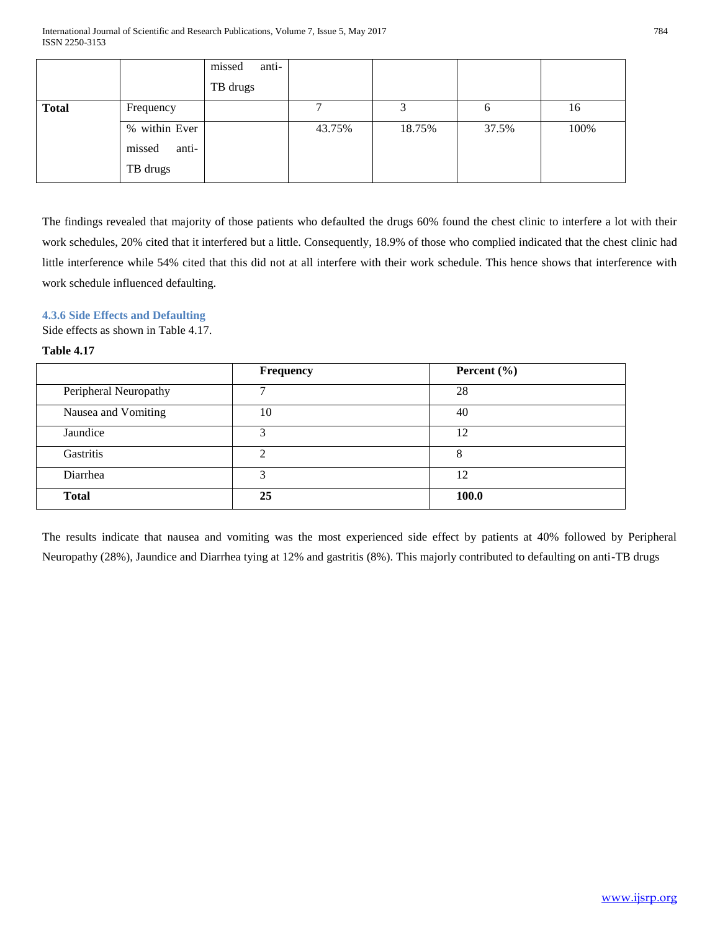|              |                 | missed<br>anti-<br>TB drugs |        |        |       |      |
|--------------|-----------------|-----------------------------|--------|--------|-------|------|
| <b>Total</b> | Frequency       |                             | ⇁      |        | O     | 16   |
|              | % within Ever   |                             | 43.75% | 18.75% | 37.5% | 100% |
|              | missed<br>anti- |                             |        |        |       |      |
|              | TB drugs        |                             |        |        |       |      |

The findings revealed that majority of those patients who defaulted the drugs 60% found the chest clinic to interfere a lot with their work schedules, 20% cited that it interfered but a little. Consequently, 18.9% of those who complied indicated that the chest clinic had little interference while 54% cited that this did not at all interfere with their work schedule. This hence shows that interference with work schedule influenced defaulting.

# **4.3.6 Side Effects and Defaulting**

Side effects as shown in Table 4.17.

## **Table 4.17**

|                       | <b>Frequency</b> | Percent $(\% )$ |
|-----------------------|------------------|-----------------|
| Peripheral Neuropathy | $\mathcal{I}$    | 28              |
| Nausea and Vomiting   | 10               | 40              |
| Jaundice              | 3                | 12              |
| Gastritis             | $\mathcal{D}$    | 8               |
| Diarrhea              | 3                | 12              |
| <b>Total</b>          | 25               | <b>100.0</b>    |

The results indicate that nausea and vomiting was the most experienced side effect by patients at 40% followed by Peripheral Neuropathy (28%), Jaundice and Diarrhea tying at 12% and gastritis (8%). This majorly contributed to defaulting on anti-TB drugs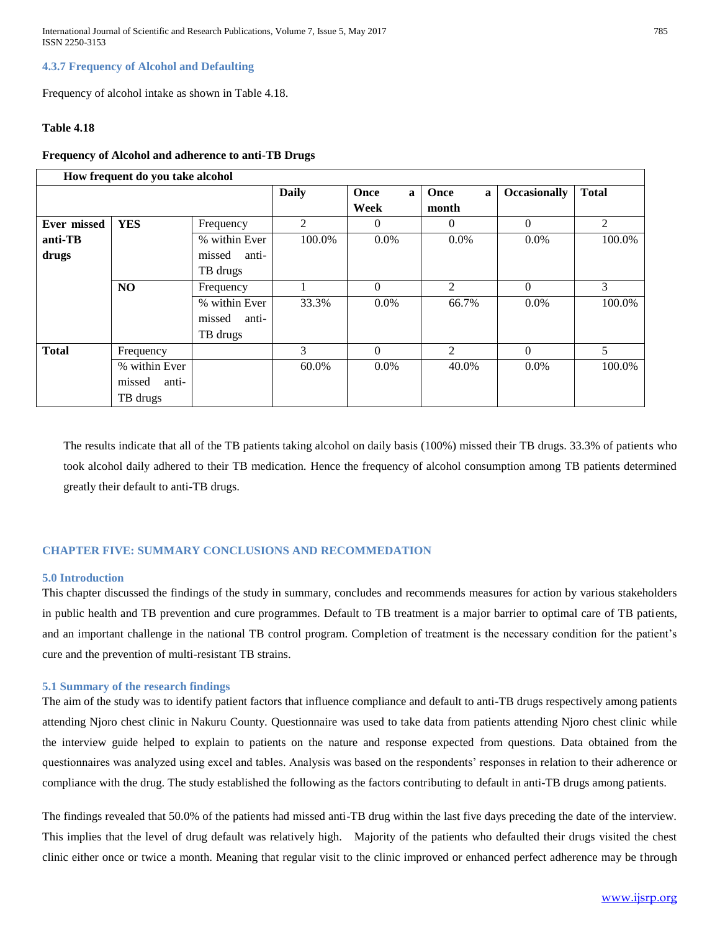#### **4.3.7 Frequency of Alcohol and Defaulting**

Frequency of alcohol intake as shown in Table 4.18.

## **Table 4.18**

#### **Frequency of Alcohol and adherence to anti-TB Drugs**

|                    | How frequent do you take alcohol |                 |              |                  |                  |                     |              |
|--------------------|----------------------------------|-----------------|--------------|------------------|------------------|---------------------|--------------|
|                    |                                  |                 | <b>Daily</b> | <b>Once</b><br>a | <b>Once</b><br>a | <b>Occasionally</b> | <b>Total</b> |
|                    |                                  |                 |              | Week             | month            |                     |              |
| <b>Ever missed</b> | <b>YES</b>                       | Frequency       | 2            | $\theta$         | 0                | $\Omega$            | 2            |
| anti-TB            |                                  | % within Ever   | 100.0%       | 0.0%             | 0.0%             | $0.0\%$             | 100.0%       |
| drugs              |                                  | missed<br>anti- |              |                  |                  |                     |              |
|                    |                                  | TB drugs        |              |                  |                  |                     |              |
|                    | N <sub>O</sub>                   | Frequency       |              | $\Omega$         | $\overline{2}$   | $\Omega$            | 3            |
|                    |                                  | % within Ever   | 33.3%        | $0.0\%$          | 66.7%            | $0.0\%$             | 100.0%       |
|                    |                                  | missed<br>anti- |              |                  |                  |                     |              |
|                    |                                  | TB drugs        |              |                  |                  |                     |              |
| <b>Total</b>       | Frequency                        |                 | 3            | $\theta$         | 2                | $\Omega$            | 5            |
|                    | % within Ever                    |                 | 60.0%        | $0.0\%$          | 40.0%            | $0.0\%$             | 100.0%       |
|                    | missed<br>anti-                  |                 |              |                  |                  |                     |              |
|                    | TB drugs                         |                 |              |                  |                  |                     |              |

The results indicate that all of the TB patients taking alcohol on daily basis (100%) missed their TB drugs. 33.3% of patients who took alcohol daily adhered to their TB medication. Hence the frequency of alcohol consumption among TB patients determined greatly their default to anti-TB drugs.

## **CHAPTER FIVE: SUMMARY CONCLUSIONS AND RECOMMEDATION**

#### **5.0 Introduction**

This chapter discussed the findings of the study in summary, concludes and recommends measures for action by various stakeholders in public health and TB prevention and cure programmes. Default to TB treatment is a major barrier to optimal care of TB patients, and an important challenge in the national TB control program. Completion of treatment is the necessary condition for the patient's cure and the prevention of multi-resistant TB strains.

## **5.1 Summary of the research findings**

The aim of the study was to identify patient factors that influence compliance and default to anti-TB drugs respectively among patients attending Njoro chest clinic in Nakuru County. Questionnaire was used to take data from patients attending Njoro chest clinic while the interview guide helped to explain to patients on the nature and response expected from questions. Data obtained from the questionnaires was analyzed using excel and tables. Analysis was based on the respondents' responses in relation to their adherence or compliance with the drug. The study established the following as the factors contributing to default in anti-TB drugs among patients.

The findings revealed that 50.0% of the patients had missed anti-TB drug within the last five days preceding the date of the interview. This implies that the level of drug default was relatively high. Majority of the patients who defaulted their drugs visited the chest clinic either once or twice a month. Meaning that regular visit to the clinic improved or enhanced perfect adherence may be through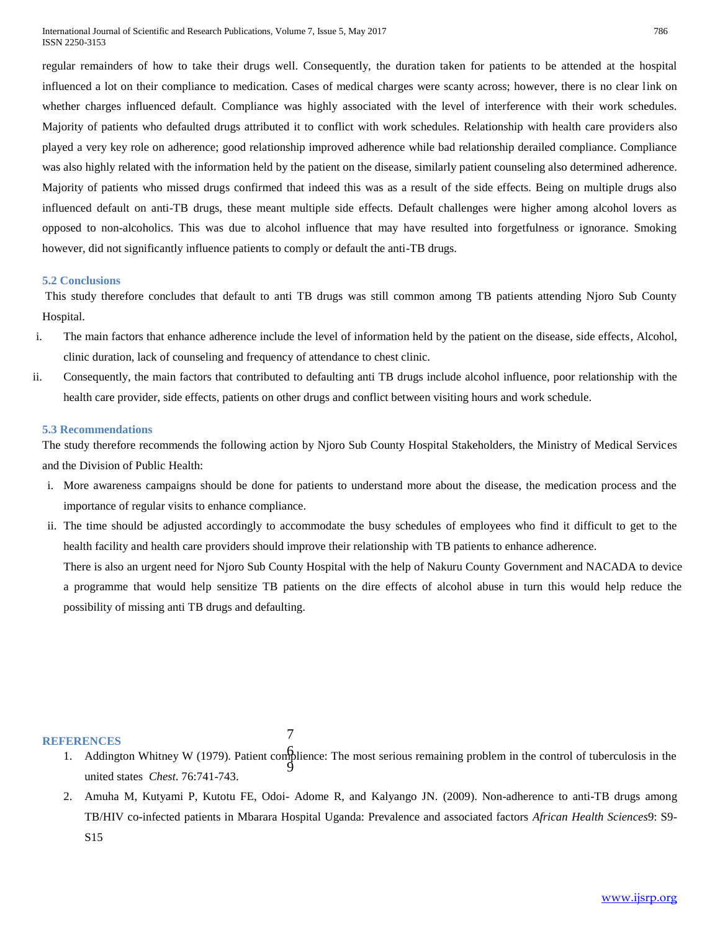regular remainders of how to take their drugs well. Consequently, the duration taken for patients to be attended at the hospital influenced a lot on their compliance to medication. Cases of medical charges were scanty across; however, there is no clear link on whether charges influenced default. Compliance was highly associated with the level of interference with their work schedules. Majority of patients who defaulted drugs attributed it to conflict with work schedules. Relationship with health care providers also played a very key role on adherence; good relationship improved adherence while bad relationship derailed compliance. Compliance was also highly related with the information held by the patient on the disease, similarly patient counseling also determined adherence. Majority of patients who missed drugs confirmed that indeed this was as a result of the side effects. Being on multiple drugs also influenced default on anti-TB drugs, these meant multiple side effects. Default challenges were higher among alcohol lovers as opposed to non-alcoholics. This was due to alcohol influence that may have resulted into forgetfulness or ignorance. Smoking however, did not significantly influence patients to comply or default the anti-TB drugs.

#### **5.2 Conclusions**

This study therefore concludes that default to anti TB drugs was still common among TB patients attending Njoro Sub County Hospital.

- i. The main factors that enhance adherence include the level of information held by the patient on the disease, side effects, Alcohol, clinic duration, lack of counseling and frequency of attendance to chest clinic.
- ii. Consequently, the main factors that contributed to defaulting anti TB drugs include alcohol influence, poor relationship with the health care provider, side effects, patients on other drugs and conflict between visiting hours and work schedule.

#### **5.3 Recommendations**

The study therefore recommends the following action by Njoro Sub County Hospital Stakeholders, the Ministry of Medical Services and the Division of Public Health:

- i. More awareness campaigns should be done for patients to understand more about the disease, the medication process and the importance of regular visits to enhance compliance.
- ii. The time should be adjusted accordingly to accommodate the busy schedules of employees who find it difficult to get to the health facility and health care providers should improve their relationship with TB patients to enhance adherence.

 There is also an urgent need for Njoro Sub County Hospital with the help of Nakuru County Government and NACADA to device a programme that would help sensitize TB patients on the dire effects of alcohol abuse in turn this would help reduce the possibility of missing anti TB drugs and defaulting.

#### **REFERENCES**

7

- 6 9 1. Addington Whitney W (1979). Patient complience: The most serious remaining problem in the control of tuberculosis in the united states *Chest*. 76:741-743.
- 2. Amuha M, Kutyami P, Kutotu FE, Odoi- Adome R, and Kalyango JN. (2009). Non-adherence to anti-TB drugs among TB/HIV co-infected patients in Mbarara Hospital Uganda: Prevalence and associated factors *African Health Sciences*9: S9- S15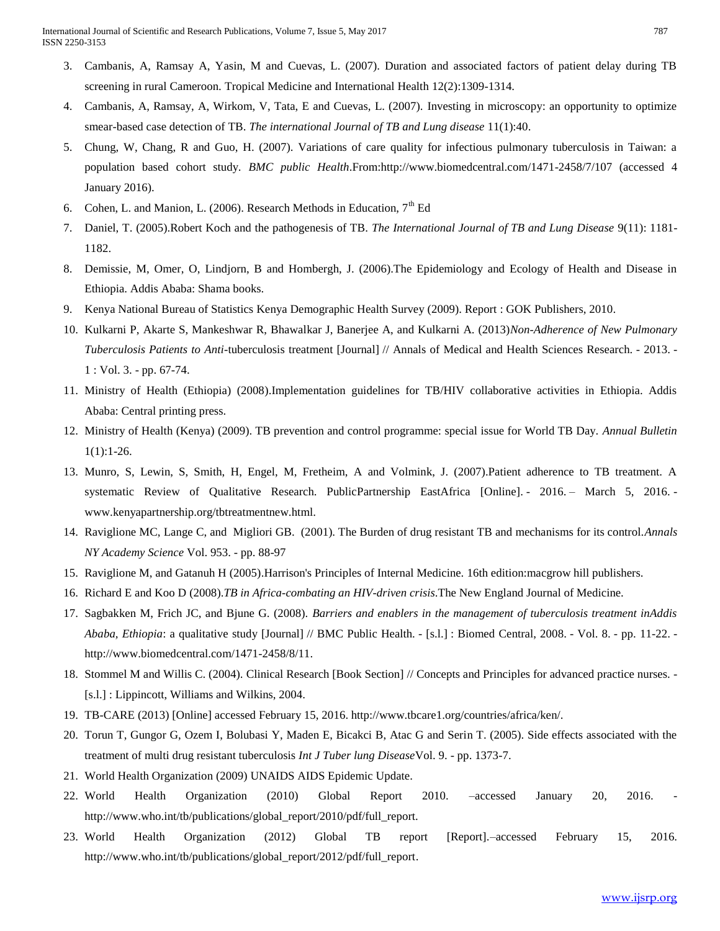- 3. Cambanis, A, Ramsay A, Yasin, M and Cuevas, L. (2007). Duration and associated factors of patient delay during TB screening in rural Cameroon. Tropical Medicine and International Health 12(2):1309-1314.
- 4. Cambanis, A, Ramsay, A, Wirkom, V, Tata, E and Cuevas, L. (2007). Investing in microscopy: an opportunity to optimize smear-based case detection of TB. *The international Journal of TB and Lung disease* 11(1):40.
- 5. Chung, W, Chang, R and Guo, H. (2007). Variations of care quality for infectious pulmonary tuberculosis in Taiwan: a population based cohort study. *BMC public Health*.From:http://www.biomedcentral.com/1471-2458/7/107 (accessed 4 January 2016).
- 6. Cohen, L. and Manion, L. (2006). Research Methods in Education,  $7<sup>th</sup>$  Ed
- 7. Daniel, T. (2005).Robert Koch and the pathogenesis of TB. *The International Journal of TB and Lung Disease* 9(11): 1181- 1182.
- 8. Demissie, M, Omer, O, Lindjorn, B and Hombergh, J. (2006).The Epidemiology and Ecology of Health and Disease in Ethiopia. Addis Ababa: Shama books.
- 9. Kenya National Bureau of Statistics Kenya Demographic Health Survey (2009). Report : GOK Publishers, 2010.
- 10. Kulkarni P, Akarte S, Mankeshwar R, Bhawalkar J, Banerjee A, and Kulkarni A. (2013)*Non-Adherence of New Pulmonary Tuberculosis Patients to Anti-*tuberculosis treatment [Journal] // Annals of Medical and Health Sciences Research. - 2013. - 1 : Vol. 3. - pp. 67-74.
- 11. Ministry of Health (Ethiopia) (2008).Implementation guidelines for TB/HIV collaborative activities in Ethiopia. Addis Ababa: Central printing press.
- 12. Ministry of Health (Kenya) (2009). TB prevention and control programme: special issue for World TB Day. *Annual Bulletin*  1(1):1-26.
- 13. Munro, S, Lewin, S, Smith, H, Engel, M, Fretheim, A and Volmink, J. (2007).Patient adherence to TB treatment. A systematic Review of Qualitative Research. PublicPartnership EastAfrica [Online]. - 2016. – March 5, 2016. www.kenyapartnership.org/tbtreatmentnew.html.
- 14. Raviglione MC, Lange C, and Migliori GB. (2001). The Burden of drug resistant TB and mechanisms for its control.*Annals NY Academy Science* Vol. 953. - pp. 88-97
- 15. Raviglione M, and Gatanuh H (2005).Harrison's Principles of Internal Medicine. 16th edition:macgrow hill publishers.
- 16. Richard E and Koo D (2008).*TB in Africa-combating an HIV-driven crisis*.The New England Journal of Medicine.
- 17. Sagbakken M, Frich JC, and Bjune G. (2008). *Barriers and enablers in the management of tuberculosis treatment inAddis Ababa, Ethiopia*: a qualitative study [Journal] // BMC Public Health. - [s.l.] : Biomed Central, 2008. - Vol. 8. - pp. 11-22. http://www.biomedcentral.com/1471-2458/8/11.
- 18. Stommel M and Willis C. (2004). Clinical Research [Book Section] // Concepts and Principles for advanced practice nurses. [s.l.] : Lippincott, Williams and Wilkins, 2004.
- 19. TB-CARE (2013) [Online] accessed February 15, 2016. http://www.tbcare1.org/countries/africa/ken/.
- 20. Torun T, Gungor G, Ozem I, Bolubasi Y, Maden E, Bicakci B, Atac G and Serin T. (2005). Side effects associated with the treatment of multi drug resistant tuberculosis *Int J Tuber lung Disease*Vol. 9. - pp. 1373-7.
- 21. World Health Organization (2009) UNAIDS AIDS Epidemic Update.
- 22. World Health Organization (2010) Global Report 2010. –accessed January 20, 2016. http://www.who.int/tb/publications/global\_report/2010/pdf/full\_report.
- 23. World Health Organization (2012) Global TB report [Report].–accessed February 15, 2016. http://www.who.int/tb/publications/global\_report/2012/pdf/full\_report.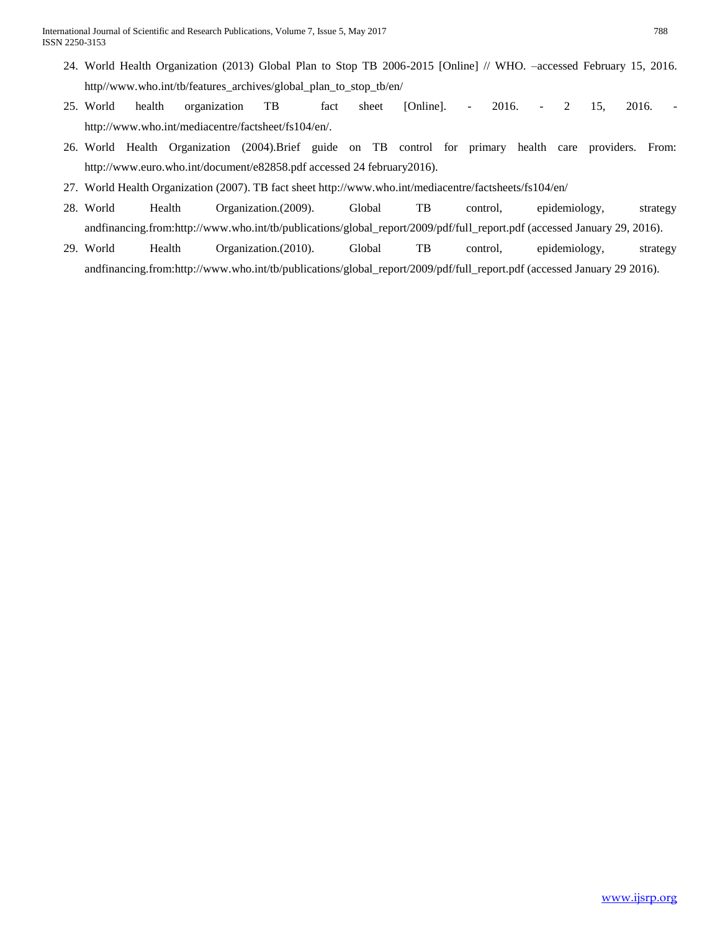International Journal of Scientific and Research Publications, Volume 7, Issue 5, May 2017 788 ISSN 2250-3153

- 24. World Health Organization (2013) Global Plan to Stop TB 2006-2015 [Online] // WHO. –accessed February 15, 2016. http//www.who.int/tb/features\_archives/global\_plan\_to\_stop\_tb/en/
- 25. World health organization TB fact sheet [Online]. 2016. 2 15, 2016. http://www.who.int/mediacentre/factsheet/fs104/en/.
- 26. World Health Organization (2004).Brief guide on TB control for primary health care providers. From: http://www.euro.who.int/document/e82858.pdf accessed 24 february2016).
- 27. World Health Organization (2007). TB fact sheet http://www.who.int/mediacentre/factsheets/fs104/en/
- 28. World Health Organization.(2009). Global TB control, epidemiology, strategy andfinancing.from:http://www.who.int/tb/publications/global\_report/2009/pdf/full\_report.pdf (accessed January 29, 2016).
- 29. World Health Organization.(2010). Global TB control, epidemiology, strategy andfinancing.from:http://www.who.int/tb/publications/global\_report/2009/pdf/full\_report.pdf (accessed January 29 2016).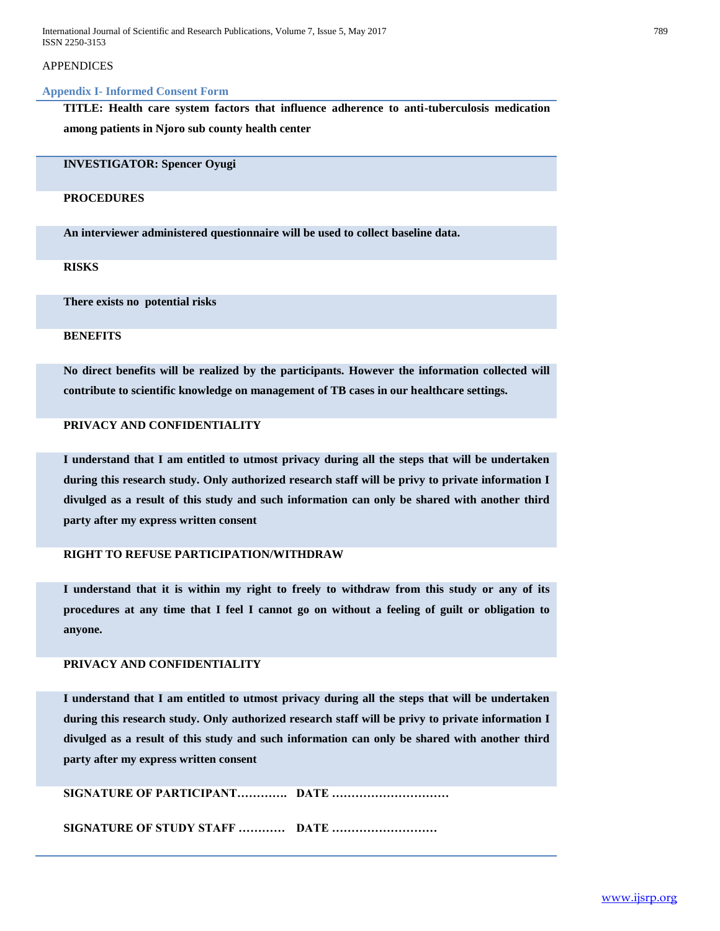International Journal of Scientific and Research Publications, Volume 7, Issue 5, May 2017 ISSN 2250-3153

#### APPENDICES

#### **Appendix I- Informed Consent Form**

**TITLE: Health care system factors that influence adherence to anti-tuberculosis medication among patients in Njoro sub county health center**

#### **INVESTIGATOR: Spencer Oyugi**

#### **PROCEDURES**

**An interviewer administered questionnaire will be used to collect baseline data.**

## **RISKS**

**There exists no potential risks**

## **BENEFITS**

**No direct benefits will be realized by the participants. However the information collected will contribute to scientific knowledge on management of TB cases in our healthcare settings.**

#### **PRIVACY AND CONFIDENTIALITY**

**I understand that I am entitled to utmost privacy during all the steps that will be undertaken during this research study. Only authorized research staff will be privy to private information I divulged as a result of this study and such information can only be shared with another third party after my express written consent**

#### **RIGHT TO REFUSE PARTICIPATION/WITHDRAW**

**I understand that it is within my right to freely to withdraw from this study or any of its procedures at any time that I feel I cannot go on without a feeling of guilt or obligation to anyone.**

#### **PRIVACY AND CONFIDENTIALITY**

**I understand that I am entitled to utmost privacy during all the steps that will be undertaken during this research study. Only authorized research staff will be privy to private information I divulged as a result of this study and such information can only be shared with another third party after my express written consent**

**SIGNATURE OF PARTICIPANT…………. DATE …………………………**

**SIGNATURE OF STUDY STAFF ………… DATE ………………………**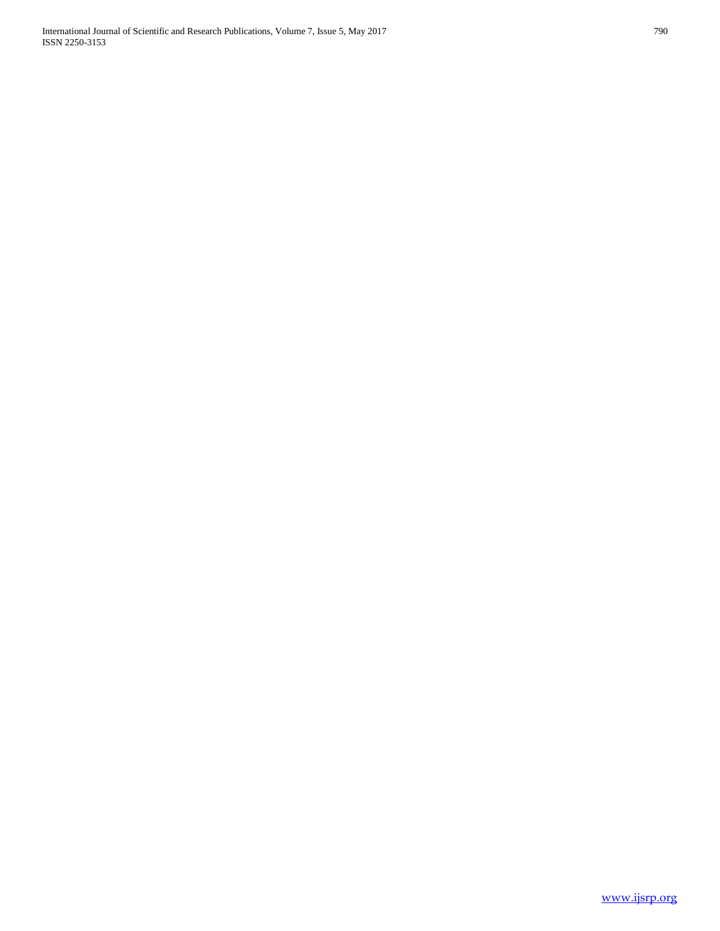International Journal of Scientific and Research Publications, Volume 7, Issue 5, May 2017 790 ISSN 2250-3153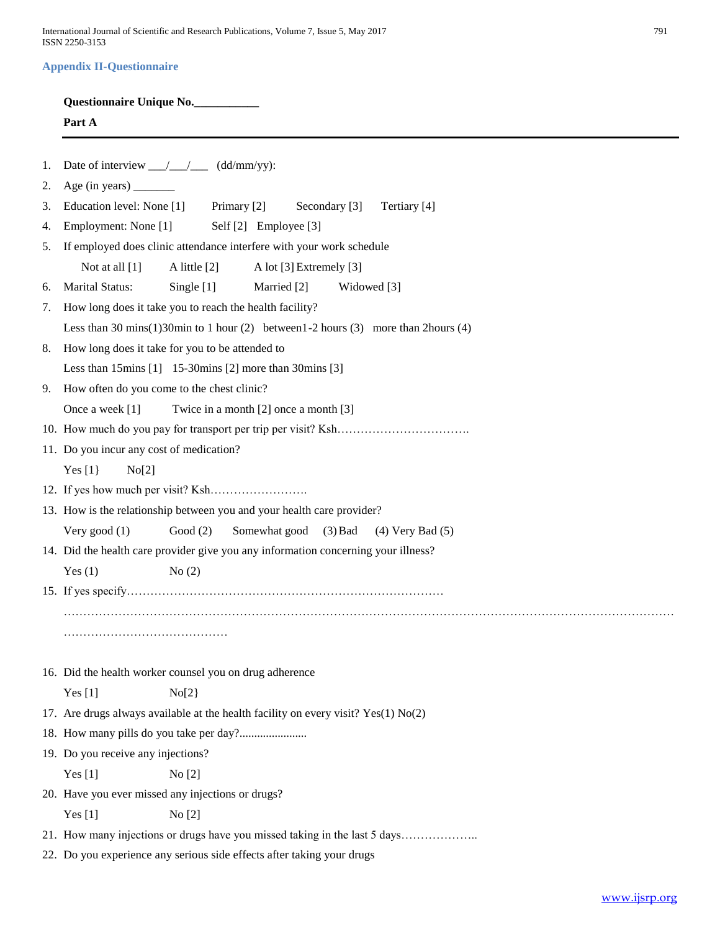# **Appendix II-Questionnaire**

|    | Questionnaire Unique No.                                                                |  |  |  |  |  |  |  |
|----|-----------------------------------------------------------------------------------------|--|--|--|--|--|--|--|
|    | Part A                                                                                  |  |  |  |  |  |  |  |
|    |                                                                                         |  |  |  |  |  |  |  |
|    | 1. Date of interview $\_\_\_\_\_\_\_\_\_\$ (dd/mm/yy):                                  |  |  |  |  |  |  |  |
| 2. | Age (in years) $\_\_\_\_\_\_\_\_\_\_\_\_\_\_\_\_\_\_\_\_\_\_\_\_\_\_\_\_\_\_$           |  |  |  |  |  |  |  |
| 3. | Education level: None [1]<br>Primary [2]<br>Tertiary [4]<br>Secondary [3]               |  |  |  |  |  |  |  |
|    | 4. Employment: None [1]<br>Self [2] Employee [3]                                        |  |  |  |  |  |  |  |
| 5. | If employed does clinic attendance interfere with your work schedule                    |  |  |  |  |  |  |  |
|    | Not at all $[1]$<br>A little $[2]$<br>A lot [3] Extremely [3]                           |  |  |  |  |  |  |  |
| 6. | <b>Marital Status:</b><br>Single [1]<br>Married [2]<br>Widowed [3]                      |  |  |  |  |  |  |  |
| 7. | How long does it take you to reach the health facility?                                 |  |  |  |  |  |  |  |
|    | Less than 30 mins(1)30min to 1 hour (2) between $1-2$ hours (3) more than $2$ hours (4) |  |  |  |  |  |  |  |
|    | 8. How long does it take for you to be attended to                                      |  |  |  |  |  |  |  |
|    | Less than 15 mins [1] 15-30 mins [2] more than 30 mins [3]                              |  |  |  |  |  |  |  |
|    | 9. How often do you come to the chest clinic?                                           |  |  |  |  |  |  |  |
|    | Once a week [1]<br>Twice in a month [2] once a month [3]                                |  |  |  |  |  |  |  |
|    |                                                                                         |  |  |  |  |  |  |  |
|    | 11. Do you incur any cost of medication?                                                |  |  |  |  |  |  |  |
|    | Yes $[1]$<br>No[2]                                                                      |  |  |  |  |  |  |  |
|    |                                                                                         |  |  |  |  |  |  |  |
|    | 13. How is the relationship between you and your health care provider?                  |  |  |  |  |  |  |  |
|    | Very good $(1)$<br>Good $(2)$<br>Somewhat good (3) Bad<br>$(4)$ Very Bad $(5)$          |  |  |  |  |  |  |  |
|    | 14. Did the health care provider give you any information concerning your illness?      |  |  |  |  |  |  |  |
|    | Yes $(1)$<br>No $(2)$                                                                   |  |  |  |  |  |  |  |
|    |                                                                                         |  |  |  |  |  |  |  |
|    |                                                                                         |  |  |  |  |  |  |  |
|    |                                                                                         |  |  |  |  |  |  |  |
|    |                                                                                         |  |  |  |  |  |  |  |
|    | 16. Did the health worker counsel you on drug adherence                                 |  |  |  |  |  |  |  |
|    | Yes $[1]$<br>No[2]                                                                      |  |  |  |  |  |  |  |
|    | 17. Are drugs always available at the health facility on every visit? $Yes(1) No(2)$    |  |  |  |  |  |  |  |
|    |                                                                                         |  |  |  |  |  |  |  |
|    | 19. Do you receive any injections?                                                      |  |  |  |  |  |  |  |
|    | Yes $[1]$<br>No [2]                                                                     |  |  |  |  |  |  |  |
|    | 20. Have you ever missed any injections or drugs?                                       |  |  |  |  |  |  |  |
|    | Yes $[1]$<br>No [2]                                                                     |  |  |  |  |  |  |  |
|    | 21. How many injections or drugs have you missed taking in the last 5 days              |  |  |  |  |  |  |  |
|    | 22. Do you experience any serious side effects after taking your drugs                  |  |  |  |  |  |  |  |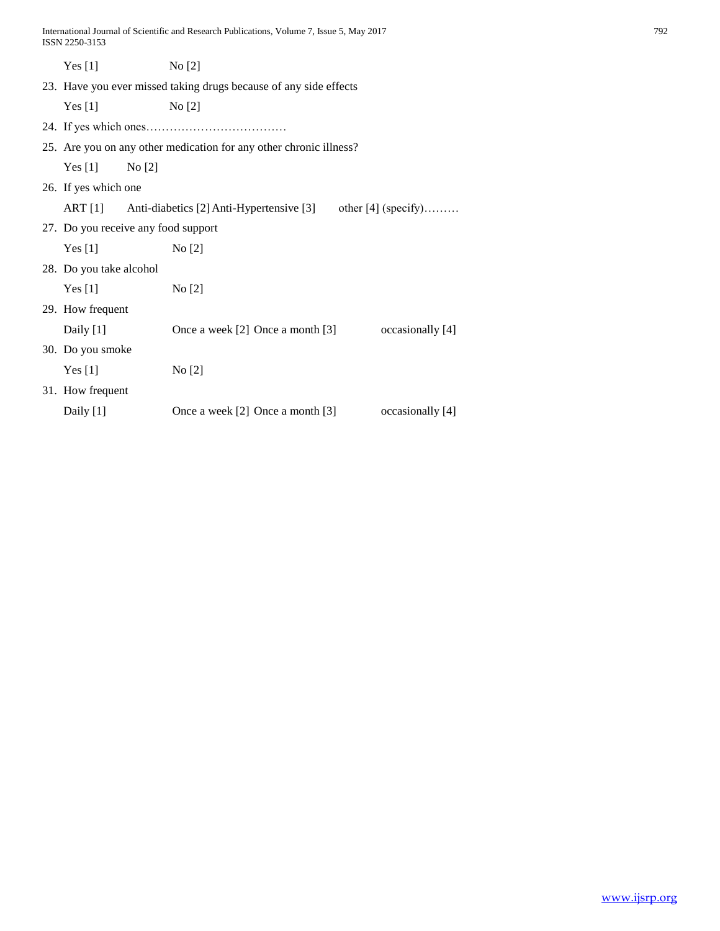ISSN 2250-3153 Yes [1] No [2] 23. Have you ever missed taking drugs because of any side effects Yes [1] No [2] 24. If yes which ones……………………………… 25. Are you on any other medication for any other chronic illness?  $Yes [1]$  No [2] 26. If yes which one ART [1] Anti-diabetics [2] Anti-Hypertensive [3] other [4] (specify)......... 27. Do you receive any food support Yes [1] No [2] 28. Do you take alcohol Yes [1] No [2] 29. How frequent Daily [1] Once a week [2] Once a month [3] occasionally [4] 30. Do you smoke Yes [1] No [2] 31. How frequent Daily [1] Once a week [2] Once a month [3] occasionally [4]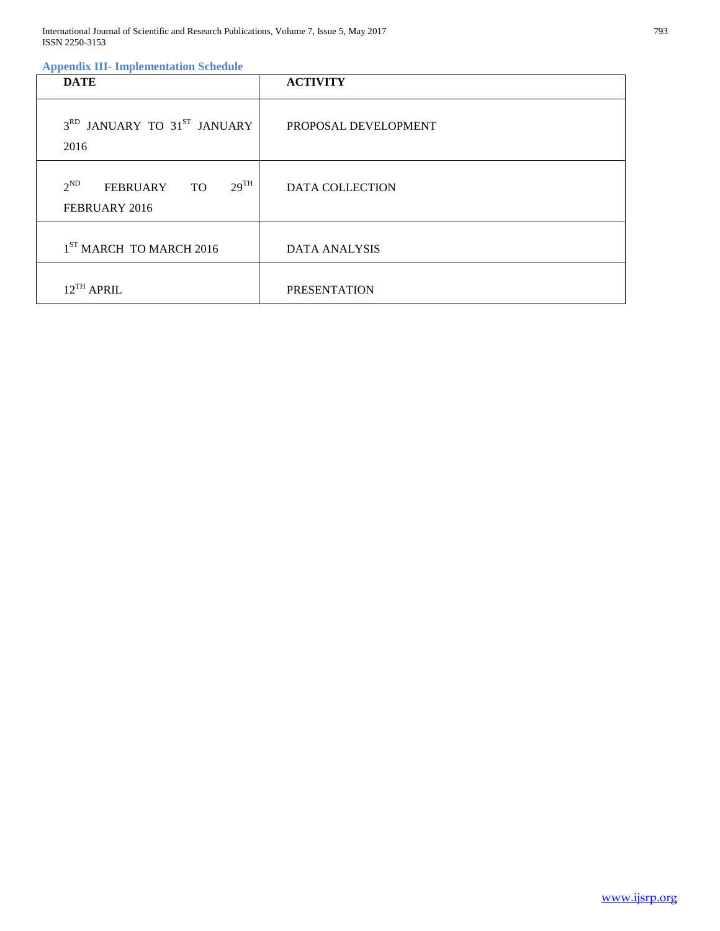International Journal of Scientific and Research Publications, Volume 7, Issue 5, May 2017 793 ISSN 2250-3153

**Appendix III- Implementation Schedule**

| <b>DATE</b>                                                            | <b>ACTIVITY</b>        |
|------------------------------------------------------------------------|------------------------|
| 3RD JANUARY TO 31ST JANUARY<br>2016                                    | PROPOSAL DEVELOPMENT   |
| $29^{TH}$<br>$2^{ND}$<br><b>TO</b><br><b>FEBRUARY</b><br>FEBRUARY 2016 | <b>DATA COLLECTION</b> |
| $1ST$ MARCH TO MARCH 2016                                              | <b>DATA ANALYSIS</b>   |
| $12^{TH}$ APRIL                                                        | <b>PRESENTATION</b>    |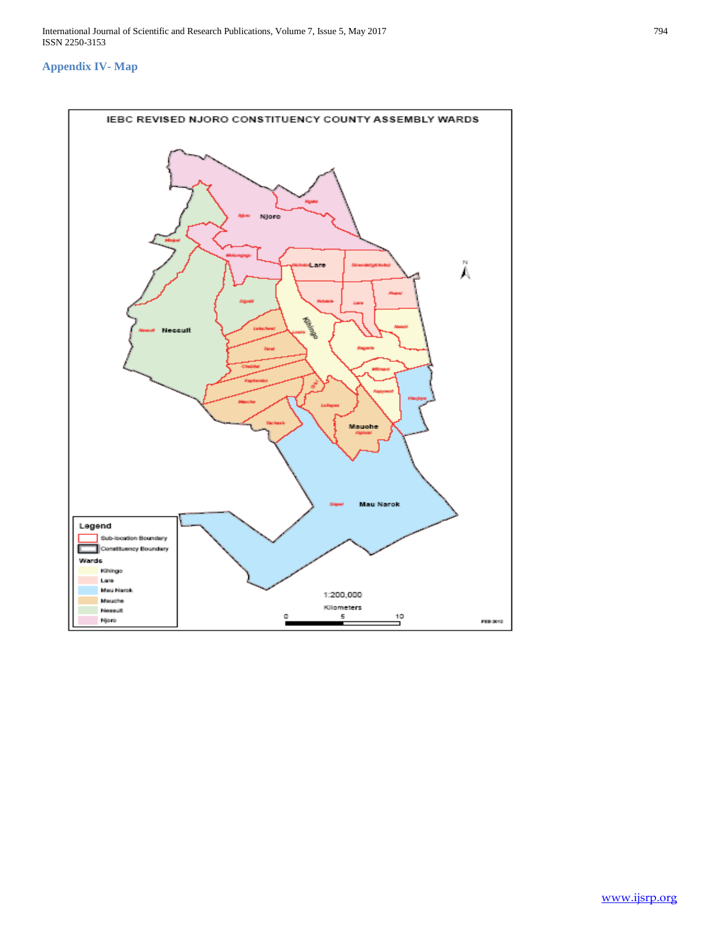# **Appendix IV- Map**